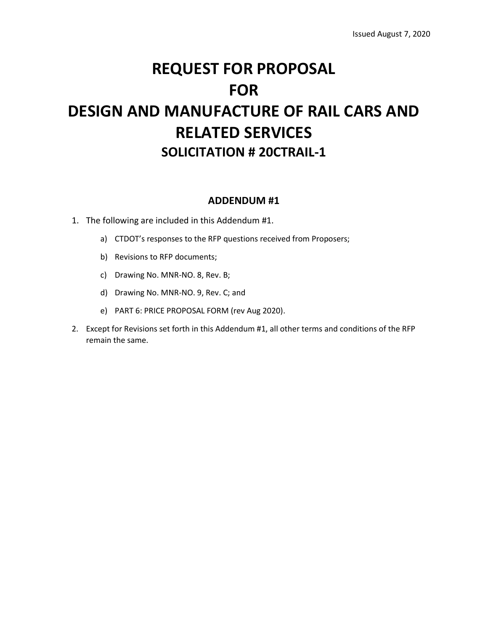# **REQUEST FOR PROPOSAL FOR DESIGN AND MANUFACTURE OF RAIL CARS AND RELATED SERVICES SOLICITATION # 20CTRAIL‐1**

### **ADDENDUM #1**

- 1. The following are included in this Addendum #1.
	- a) CTDOT's responses to the RFP questions received from Proposers;
	- b) Revisions to RFP documents;
	- c) Drawing No. MNR-NO. 8, Rev. B;
	- d) Drawing No. MNR-NO. 9, Rev. C; and
	- e) PART 6: PRICE PROPOSAL FORM (rev Aug 2020).
- 2. Except for Revisions set forth in this Addendum #1, all other terms and conditions of the RFP remain the same.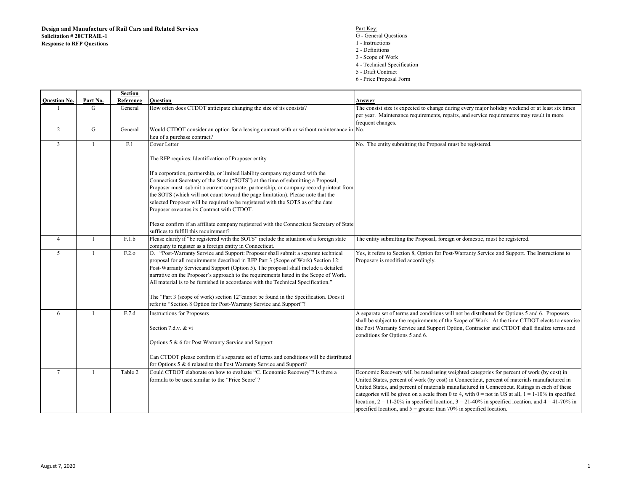- 1 Instructions
- 2 Definitions
- 3 Scope of Work
- 4 Technical Specification
- 5 Draft Contract
- 6 Price Proposal Form

|                     |                | Section   |                                                                                           |                                                                                                          |
|---------------------|----------------|-----------|-------------------------------------------------------------------------------------------|----------------------------------------------------------------------------------------------------------|
| <b>Question No.</b> | Part No.       | Reference | Question                                                                                  | Answer                                                                                                   |
|                     | G              | General   | How often does CTDOT anticipate changing the size of its consists?                        | The consist size is expected to change during every major holiday weekend or at least six times          |
|                     |                |           |                                                                                           | per year. Maintenance requirements, repairs, and service requirements may result in more                 |
|                     |                |           |                                                                                           | frequent changes.                                                                                        |
| 2                   | G              | General   | Would CTDOT consider an option for a leasing contract with or without maintenance in No.  |                                                                                                          |
|                     |                |           | lieu of a purchase contract?                                                              |                                                                                                          |
| 3                   | 1              | F.1       | Cover Letter                                                                              | No. The entity submitting the Proposal must be registered.                                               |
|                     |                |           |                                                                                           |                                                                                                          |
|                     |                |           | The RFP requires: Identification of Proposer entity.                                      |                                                                                                          |
|                     |                |           |                                                                                           |                                                                                                          |
|                     |                |           | If a corporation, partnership, or limited liability company registered with the           |                                                                                                          |
|                     |                |           | Connecticut Secretary of the State ("SOTS") at the time of submitting a Proposal,         |                                                                                                          |
|                     |                |           | Proposer must submit a current corporate, partnership, or company record printout from    |                                                                                                          |
|                     |                |           | the SOTS (which will not count toward the page limitation). Please note that the          |                                                                                                          |
|                     |                |           | selected Proposer will be required to be registered with the SOTS as of the date          |                                                                                                          |
|                     |                |           | Proposer executes its Contract with CTDOT.                                                |                                                                                                          |
|                     |                |           |                                                                                           |                                                                                                          |
|                     |                |           | Please confirm if an affiliate company registered with the Connecticut Secretary of State |                                                                                                          |
|                     |                |           | suffices to fulfill this requirement?                                                     |                                                                                                          |
| $\overline{4}$      | -1             | F.1.b     | Please clarify if "be registered with the SOTS" include the situation of a foreign state  | The entity submitting the Proposal, foreign or domestic, must be registered.                             |
|                     |                |           | company to register as a foreign entity in Connecticut.                                   |                                                                                                          |
| 5                   | 1              | F.2.o     | O. "Post-Warranty Service and Support: Proposer shall submit a separate technical         | Yes, it refers to Section 8, Option for Post-Warranty Service and Support. The Instructions to           |
|                     |                |           | proposal for all requirements described in RFP Part 3 (Scope of Work) Section 12:         | Proposers is modified accordingly.                                                                       |
|                     |                |           | Post-Warranty Serviceand Support (Option 5). The proposal shall include a detailed        |                                                                                                          |
|                     |                |           | narrative on the Proposer's approach to the requirements listed in the Scope of Work.     |                                                                                                          |
|                     |                |           | All material is to be furnished in accordance with the Technical Specification."          |                                                                                                          |
|                     |                |           |                                                                                           |                                                                                                          |
|                     |                |           | The "Part 3 (scope of work) section 12" cannot be found in the Specification. Does it     |                                                                                                          |
|                     |                |           | refer to "Section 8 Option for Post-Warranty Service and Support"?                        |                                                                                                          |
| 6                   | $\overline{1}$ | F.7.d     | <b>Instructions for Proposers</b>                                                         | A separate set of terms and conditions will not be distributed for Options 5 and 6. Proposers            |
|                     |                |           |                                                                                           | shall be subject to the requirements of the Scope of Work. At the time CTDOT elects to exercise          |
|                     |                |           | Section 7.d.v. & vi                                                                       | the Post Warranty Service and Support Option, Contractor and CTDOT shall finalize terms and              |
|                     |                |           |                                                                                           | conditions for Options 5 and 6.                                                                          |
|                     |                |           | Options 5 & 6 for Post Warranty Service and Support                                       |                                                                                                          |
|                     |                |           |                                                                                           |                                                                                                          |
|                     |                |           | Can CTDOT please confirm if a separate set of terms and conditions will be distributed    |                                                                                                          |
|                     |                |           | for Options 5 & 6 related to the Post Warranty Service and Support?                       |                                                                                                          |
| $\tau$              | 1              | Table 2   | Could CTDOT elaborate on how to evaluate "C. Economic Recovery"? Is there a               | Economic Recovery will be rated using weighted categories for percent of work (by cost) in               |
|                     |                |           | formula to be used similar to the "Price Score"?                                          | United States, percent of work (by cost) in Connecticut, percent of materials manufactured in            |
|                     |                |           |                                                                                           | United States, and percent of materials manufactured in Connecticut. Ratings in each of these            |
|                     |                |           |                                                                                           | categories will be given on a scale from 0 to 4, with $0 = not$ in US at all, $1 = 1-10\%$ in specified  |
|                     |                |           |                                                                                           | location, $2 = 11-20\%$ in specified location, $3 = 21-40\%$ in specified location, and $4 = 41-70\%$ in |
|                     |                |           |                                                                                           | specified location, and $5$ = greater than 70% in specified location.                                    |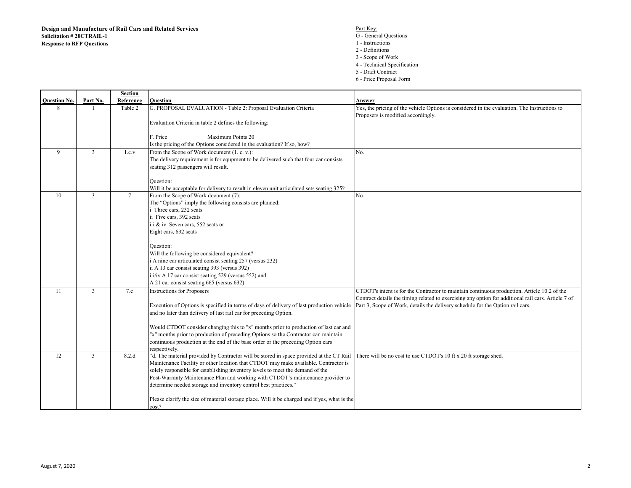- 
- 1 Instructions
- 2 Definitions
- 3 Scope of Work 4 - Technical Specification
- 5 Draft Contract
- 6 Price Proposal Form

|                     |                | Section        |                                                                                               |                                                                                                                                    |
|---------------------|----------------|----------------|-----------------------------------------------------------------------------------------------|------------------------------------------------------------------------------------------------------------------------------------|
| <b>Ouestion No.</b> | Part No.       | Reference      | <b>Ouestion</b>                                                                               | Answer                                                                                                                             |
| 8                   |                | Table 2        | G. PROPOSAL EVALUATION - Table 2: Proposal Evaluation Criteria                                | Yes, the pricing of the vehicle Options is considered in the evaluation. The Instructions to<br>Proposers is modified accordingly. |
|                     |                |                | Evaluation Criteria in table 2 defines the following:                                         |                                                                                                                                    |
|                     |                |                | F. Price<br>Maximum Points 20                                                                 |                                                                                                                                    |
|                     |                |                | Is the pricing of the Options considered in the evaluation? If so, how?                       |                                                                                                                                    |
| 9                   | $\overline{3}$ | 1.c.v          | From the Scope of Work document (1. c. v.):                                                   | No.                                                                                                                                |
|                     |                |                | The delivery requirement is for equpment to be delivered such that four car consists          |                                                                                                                                    |
|                     |                |                | seating 312 passengers will result.                                                           |                                                                                                                                    |
|                     |                |                | Question:                                                                                     |                                                                                                                                    |
|                     |                |                | Will it be acceptable for delivery to result in eleven unit articulated sets seating 325?     |                                                                                                                                    |
| 10                  | $\overline{3}$ | $\overline{7}$ | From the Scope of Work document (7):                                                          | No.                                                                                                                                |
|                     |                |                | The "Options" imply the following consists are planned:                                       |                                                                                                                                    |
|                     |                |                | Three cars, 232 seats                                                                         |                                                                                                                                    |
|                     |                |                | ii Five cars, 392 seats                                                                       |                                                                                                                                    |
|                     |                |                | iii & iv Seven cars, 552 seats or                                                             |                                                                                                                                    |
|                     |                |                | Eight cars, 632 seats                                                                         |                                                                                                                                    |
|                     |                |                | Question:                                                                                     |                                                                                                                                    |
|                     |                |                | Will the following be considered equivalent?                                                  |                                                                                                                                    |
|                     |                |                | i A nine car articulated consist seating 257 (versus 232)                                     |                                                                                                                                    |
|                     |                |                | ii A 13 car consist seating 393 (versus 392)                                                  |                                                                                                                                    |
|                     |                |                | iii/iv A 17 car consist seating 529 (versus 552) and                                          |                                                                                                                                    |
|                     |                |                | A 21 car consist seating 665 (versus 632)                                                     |                                                                                                                                    |
| 11                  | $\overline{3}$ | 7.c            | <b>Instructions for Proposers</b>                                                             | CTDOT's intent is for the Contractor to maintain continuous production. Article 10.2 of the                                        |
|                     |                |                |                                                                                               | Contract details the timing related to exercising any option for additional rail cars. Article 7 of                                |
|                     |                |                | Execution of Options is specified in terms of days of delivery of last production vehicle     | Part 3, Scope of Work, details the delivery schedule for the Option rail cars.                                                     |
|                     |                |                | and no later than delivery of last rail car for preceding Option.                             |                                                                                                                                    |
|                     |                |                | Would CTDOT consider changing this to "x" months prior to production of last car and          |                                                                                                                                    |
|                     |                |                | "x" months prior to production of preceding Options so the Contractor can maintain            |                                                                                                                                    |
|                     |                |                | continuous production at the end of the base order or the preceding Option cars               |                                                                                                                                    |
|                     |                |                | respectively.                                                                                 |                                                                                                                                    |
| 12                  | $\overline{3}$ | 8.2.d          | "d. The material provided by Contractor will be stored in space provided at the CT Rail       | There will be no cost to use CTDOT's 10 ft x 20 ft storage shed.                                                                   |
|                     |                |                | Maintenance Facility or other location that CTDOT may make available. Contractor is           |                                                                                                                                    |
|                     |                |                | solely responsible for establishing inventory levels to meet the demand of the                |                                                                                                                                    |
|                     |                |                | Post-Warranty Maintenance Plan and working with CTDOT's maintenance provider to               |                                                                                                                                    |
|                     |                |                | determine needed storage and inventory control best practices."                               |                                                                                                                                    |
|                     |                |                | Please clarify the size of material storage place. Will it be charged and if yes, what is the |                                                                                                                                    |
|                     |                |                | cost?                                                                                         |                                                                                                                                    |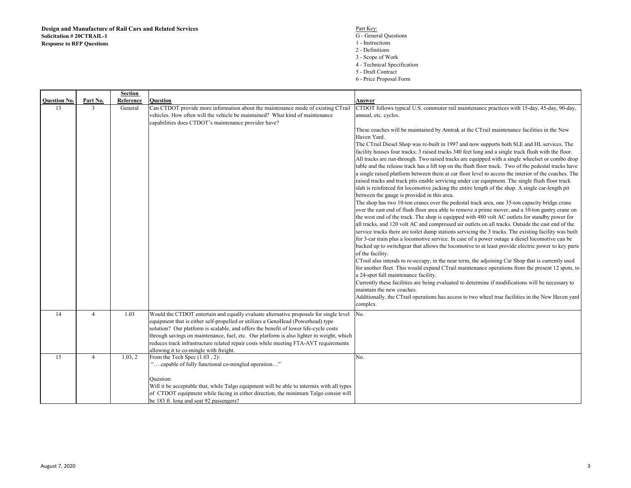|                     |                | Section   |                                                                                                                                                                                                                                                                                                                                                                                                                                                                                                |                                                                                                                                                                                                                                                                                                                                                                                                                                                                                                                                                                                                                                                                                                                                                                                                                                                                                                                                                                                                                                                                                                                                                                                                                                                                                                                                                                                                                                                                                                                                                                                                                                                                                                                                                                                                                                                                                                                                                                                                                                                                                                                                                                                                                                                         |
|---------------------|----------------|-----------|------------------------------------------------------------------------------------------------------------------------------------------------------------------------------------------------------------------------------------------------------------------------------------------------------------------------------------------------------------------------------------------------------------------------------------------------------------------------------------------------|---------------------------------------------------------------------------------------------------------------------------------------------------------------------------------------------------------------------------------------------------------------------------------------------------------------------------------------------------------------------------------------------------------------------------------------------------------------------------------------------------------------------------------------------------------------------------------------------------------------------------------------------------------------------------------------------------------------------------------------------------------------------------------------------------------------------------------------------------------------------------------------------------------------------------------------------------------------------------------------------------------------------------------------------------------------------------------------------------------------------------------------------------------------------------------------------------------------------------------------------------------------------------------------------------------------------------------------------------------------------------------------------------------------------------------------------------------------------------------------------------------------------------------------------------------------------------------------------------------------------------------------------------------------------------------------------------------------------------------------------------------------------------------------------------------------------------------------------------------------------------------------------------------------------------------------------------------------------------------------------------------------------------------------------------------------------------------------------------------------------------------------------------------------------------------------------------------------------------------------------------------|
| <b>Question No.</b> | Part No.       | Reference | Question                                                                                                                                                                                                                                                                                                                                                                                                                                                                                       | Answer                                                                                                                                                                                                                                                                                                                                                                                                                                                                                                                                                                                                                                                                                                                                                                                                                                                                                                                                                                                                                                                                                                                                                                                                                                                                                                                                                                                                                                                                                                                                                                                                                                                                                                                                                                                                                                                                                                                                                                                                                                                                                                                                                                                                                                                  |
| 13                  | 3              | General   | Can CTDOT provide more information about the maintenance mode of existing CTrail<br>vehicles. How often will the vehicle be maintained? What kind of maintenance<br>capabilities does CTDOT's maintenance provider have?                                                                                                                                                                                                                                                                       | CTDOT follows typical U.S. commuter rail maintenance practices with 15-day, 45-day, 90-day,<br>annual, etc. cycles.<br>These coaches will be maintained by Amtrak at the CTrail maintenance facilities in the New<br>Haven Yard.<br>The CTrail Diesel Shop was re-built in 1997 and now supports both SLE and HL services. The<br>facility houses four tracks; 3 raised tracks 340 feet long and a single track flush with the floor.<br>All tracks are run-through. Two raised tracks are equipped with a single wheelset or combo drop<br>table and the release track has a lift top on the flush floor track. Two of the pedestal tracks have<br>a single raised platform between them at car floor level to access the interior of the coaches. The<br>raised tracks and track pits enable servicing under car equipment. The single flush floor track<br>slab is reinforced for locomotive jacking the entire length of the shop. A single car-length pit<br>between the gauge is provided in this area.<br>The shop has two 10-ton cranes over the pedestal track area, one 35-ton capacity bridge crane<br>over the east end of flush floor area able to remove a prime mover, and a 10-ton gantry crane on<br>the west end of the track. The shop is equipped with 480 volt AC outlets for standby power for<br>all tracks, and 120 volt AC and compressed air outlets on all tracks. Outside the east end of the<br>service tracks there are toilet dump stations servicing the 3 tracks. The existing facility was built<br>for 3-car train plus a locomotive service. In case of a power outage a diesel locomotive can be<br>backed up to switchgear that allows the locomotive to at least provide electric power to key parts<br>of the facility.<br>CTrail also intends to re-occupy, in the near term, the adjoining Car Shop that is currently used<br>for another fleet. This would expand CTrail maintenance operations from the present 12 spots, to<br>a 24-spot full maintenance facility.<br>Currently these facilities are being evaluated to determine if modifications will be necessary to<br>maintain the new coaches.<br>Additionally, the CTrail operations has access to two wheel true facilities in the New Haven yard |
|                     |                |           |                                                                                                                                                                                                                                                                                                                                                                                                                                                                                                | complex.                                                                                                                                                                                                                                                                                                                                                                                                                                                                                                                                                                                                                                                                                                                                                                                                                                                                                                                                                                                                                                                                                                                                                                                                                                                                                                                                                                                                                                                                                                                                                                                                                                                                                                                                                                                                                                                                                                                                                                                                                                                                                                                                                                                                                                                |
| 14                  | $\overline{4}$ | 1.03      | Would the CTDOT entertain and equally evaluate alternative proposals for single level<br>equipment that is either self-propelled or utilizes a GenoHead (Powerhead) type<br>solution? Our platform is scalable, and offers the benefit of lower life-cycle costs<br>through savings on maintenance, fuel, etc. Our platform is also lighter in weight, which<br>reduces track infrastructure related repair costs while meeting FTA-AVT requirements<br>allowing it to co-mingle with freight. | No.                                                                                                                                                                                                                                                                                                                                                                                                                                                                                                                                                                                                                                                                                                                                                                                                                                                                                                                                                                                                                                                                                                                                                                                                                                                                                                                                                                                                                                                                                                                                                                                                                                                                                                                                                                                                                                                                                                                                                                                                                                                                                                                                                                                                                                                     |
| 15                  | $\overline{4}$ | 1.03, 2   | From the Tech Spec (1.03, 2):<br>" capable of fully functional co-mingled operation"<br>Question:<br>Will it be acceptable that, while Talgo equipment will be able to intermix with all types<br>of CTDOT equipment while facing in either direction, the minimum Talgo consist will<br>be 183 ft. long and seat 92 passengers?                                                                                                                                                               | No.                                                                                                                                                                                                                                                                                                                                                                                                                                                                                                                                                                                                                                                                                                                                                                                                                                                                                                                                                                                                                                                                                                                                                                                                                                                                                                                                                                                                                                                                                                                                                                                                                                                                                                                                                                                                                                                                                                                                                                                                                                                                                                                                                                                                                                                     |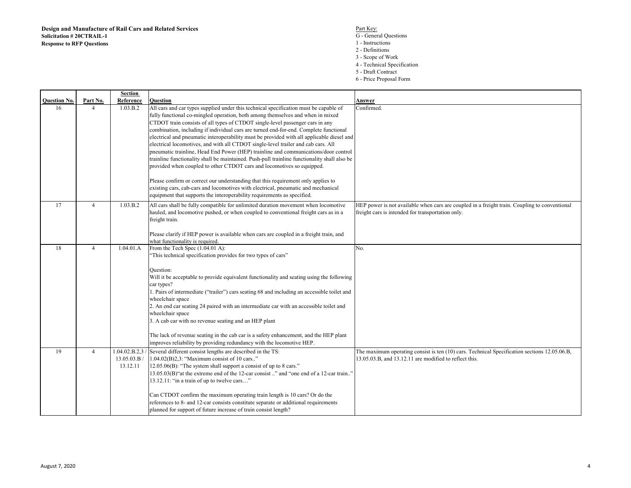- S<br>
G General Questions<br>
G General Questions
	- 1 Instructions
	- 2 Definitions
	- 3 Scope of Work
	- 4 Technical Specification
	- 5 Draft Contract
	- 6 Price Proposal Form

|                     |                | Section     |                                                                                                                                                                                    |                                                                                               |
|---------------------|----------------|-------------|------------------------------------------------------------------------------------------------------------------------------------------------------------------------------------|-----------------------------------------------------------------------------------------------|
| <b>Ouestion No.</b> | Part No.       | Reference   | Question                                                                                                                                                                           | Answer                                                                                        |
| 16                  | $\overline{4}$ | 1.03.B.2    | All cars and car types supplied under this technical specification must be capable of                                                                                              | Confirmed.                                                                                    |
|                     |                |             | fully functional co-mingled operation, both among themselves and when in mixed                                                                                                     |                                                                                               |
|                     |                |             | CTDOT train consists of all types of CTDOT single-level passenger cars in any                                                                                                      |                                                                                               |
|                     |                |             | combination, including if individual cars are turned end-for-end. Complete functional<br>electrical and pneumatic interoperability must be provided with all applicable diesel and |                                                                                               |
|                     |                |             | electrical locomotives, and with all CTDOT single-level trailer and cab cars. All                                                                                                  |                                                                                               |
|                     |                |             | pneumatic trainline, Head End Power (HEP) trainline and communications/door control                                                                                                |                                                                                               |
|                     |                |             | trainline functionality shall be maintained. Push-pull trainline functionality shall also be                                                                                       |                                                                                               |
|                     |                |             | provided when coupled to other CTDOT cars and locomotives so equipped.                                                                                                             |                                                                                               |
|                     |                |             |                                                                                                                                                                                    |                                                                                               |
|                     |                |             | Please confirm or correct our understanding that this requirement only applies to                                                                                                  |                                                                                               |
|                     |                |             | existing cars, cab-cars and locomotives with electrical, pneumatic and mechanical                                                                                                  |                                                                                               |
|                     |                |             | equipment that supports the interoperability requirements as specified.                                                                                                            |                                                                                               |
| 17                  | $\overline{4}$ | 1.03.B.2    | All cars shall be fully compatible for unlimited duration movement when locomotive                                                                                                 | HEP power is not available when cars are coupled in a freight train. Coupling to conventional |
|                     |                |             | hauled, and locomotive pushed, or when coupled to conventional freight cars as in a                                                                                                | freight cars is intended for transportation only.                                             |
|                     |                |             | freight train.                                                                                                                                                                     |                                                                                               |
|                     |                |             |                                                                                                                                                                                    |                                                                                               |
|                     |                |             | Please clarify if HEP power is available when cars are coupled in a freight train, and                                                                                             |                                                                                               |
|                     |                |             | what functionality is required.                                                                                                                                                    |                                                                                               |
| 18                  | $\overline{4}$ | 1.04.01.A   | From the Tech Spec (1.04.01 A):                                                                                                                                                    | No.                                                                                           |
|                     |                |             | "This technical specification provides for two types of cars"                                                                                                                      |                                                                                               |
|                     |                |             |                                                                                                                                                                                    |                                                                                               |
|                     |                |             | Question:                                                                                                                                                                          |                                                                                               |
|                     |                |             | Will it be acceptable to provide equivalent functionality and seating using the following                                                                                          |                                                                                               |
|                     |                |             | car types?                                                                                                                                                                         |                                                                                               |
|                     |                |             | 1. Pairs of intermediate ("trailer") cars seating 68 and including an accessible toilet and                                                                                        |                                                                                               |
|                     |                |             | wheelchair space<br>2. An end car seating 24 paired with an intermediate car with an accessible toilet and                                                                         |                                                                                               |
|                     |                |             | wheelchair space                                                                                                                                                                   |                                                                                               |
|                     |                |             | 3. A cab car with no revenue seating and an HEP plant                                                                                                                              |                                                                                               |
|                     |                |             |                                                                                                                                                                                    |                                                                                               |
|                     |                |             | The lack of revenue seating in the cab car is a safety enhancement, and the HEP plant                                                                                              |                                                                                               |
|                     |                |             | improves reliability by providing redundancy with the locomotive HEP.                                                                                                              |                                                                                               |
| 19                  | $\overline{4}$ |             | 1.04.02.B.2.3 / Several different consist lengths are described in the TS:                                                                                                         | The maximum operating consist is ten (10) cars. Technical Specification sections 12.05.06.B,  |
|                     |                | 13.05.03.B/ | 1.04.02(B)2,3: "Maximum consist of 10 cars"                                                                                                                                        | 13.05.03.B, and 13.12.11 are modified to reflect this.                                        |
|                     |                | 13.12.11    | 12.05.06(B): "The system shall support a consist of up to 8 cars."                                                                                                                 |                                                                                               |
|                     |                |             | 13.05.03(B) "at the extreme end of the 12-car consist " and "one end of a 12-car train"                                                                                            |                                                                                               |
|                     |                |             | 13.12.11: "in a train of up to twelve cars"                                                                                                                                        |                                                                                               |
|                     |                |             |                                                                                                                                                                                    |                                                                                               |
|                     |                |             | Can CTDOT confirm the maximum operating train length is 10 cars? Or do the                                                                                                         |                                                                                               |
|                     |                |             | references to 8- and 12-car consists constitute separate or additional requirements                                                                                                |                                                                                               |
|                     |                |             | planned for support of future increase of train consist length?                                                                                                                    |                                                                                               |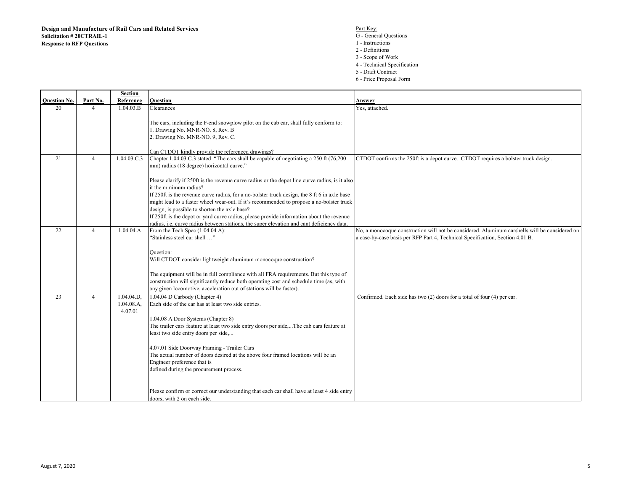- S<br>
G General Questions<br>
G General Questions
	- 1 Instructions
	- 2 Definitions
	- 3 Scope of Work
	- 4 Technical Specification
	- 5 Draft Contract
	- 6 Price Proposal Form

|                     |                | Section                            |                                                                                                                                                                                                                                                                                                                                                                                                                                                                                                                                                                                                         |                                                                                               |
|---------------------|----------------|------------------------------------|---------------------------------------------------------------------------------------------------------------------------------------------------------------------------------------------------------------------------------------------------------------------------------------------------------------------------------------------------------------------------------------------------------------------------------------------------------------------------------------------------------------------------------------------------------------------------------------------------------|-----------------------------------------------------------------------------------------------|
| <b>Ouestion No.</b> | Part No.       | Reference                          | <b>Ouestion</b>                                                                                                                                                                                                                                                                                                                                                                                                                                                                                                                                                                                         | Answer                                                                                        |
| 20                  | 4              | 1.04.03.B                          | Clearances                                                                                                                                                                                                                                                                                                                                                                                                                                                                                                                                                                                              | Yes, attached.                                                                                |
|                     |                |                                    | The cars, including the F-end snowplow pilot on the cab car, shall fully conform to:<br>1. Drawing No. MNR-NO. 8, Rev. B<br>2. Drawing No. MNR-NO. 9, Rev. C.                                                                                                                                                                                                                                                                                                                                                                                                                                           |                                                                                               |
|                     |                |                                    |                                                                                                                                                                                                                                                                                                                                                                                                                                                                                                                                                                                                         |                                                                                               |
|                     |                |                                    | Can CTDOT kindly provide the referenced drawings?                                                                                                                                                                                                                                                                                                                                                                                                                                                                                                                                                       |                                                                                               |
| 21                  | $\overline{4}$ | 1.04.03.C.3                        | Chapter 1.04.03 C.3 stated "The cars shall be capable of negotiating a 250 ft (76,200)<br>mm) radius (18 degree) horizontal curve."                                                                                                                                                                                                                                                                                                                                                                                                                                                                     | CTDOT confirms the 250ft is a depot curve. CTDOT requires a bolster truck design.             |
|                     |                |                                    | Please clarify if 250ft is the revenue curve radius or the depot line curve radius, is it also<br>it the minimum radius?<br>If 250ft is the revenue curve radius, for a no-bolster truck design, the 8 ft 6 in axle base<br>might lead to a faster wheel wear-out. If it's recommended to propose a no-bolster truck<br>design, is possible to shorten the axle base?<br>If 250ft is the depot or yard curve radius, please provide information about the revenue                                                                                                                                       |                                                                                               |
|                     |                |                                    | radius, i.e. curve radius between stations, the super elevation and cant deficiency data.                                                                                                                                                                                                                                                                                                                                                                                                                                                                                                               |                                                                                               |
| 22                  | $\overline{4}$ | 1.04.04.A                          | From the Tech Spec (1.04.04 A):                                                                                                                                                                                                                                                                                                                                                                                                                                                                                                                                                                         | No, a monocoque construction will not be considered. Aluminum carshells will be considered on |
|                     |                |                                    | "Stainless steel car shell "<br>Question:<br>Will CTDOT consider lightweight aluminum monocoque construction?<br>The equipment will be in full compliance with all FRA requirements. But this type of<br>construction will significantly reduce both operating cost and schedule time (as, with<br>any given locomotive, acceleration out of stations will be faster).                                                                                                                                                                                                                                  | a case-by-case basis per RFP Part 4, Technical Specification, Section 4.01.B.                 |
| 23                  | $\overline{4}$ | 1.04.04.D.<br>1.04.08.A<br>4.07.01 | 1.04.04 D Carbody (Chapter 4)<br>Each side of the car has at least two side entries.<br>1.04.08 A Door Systems (Chapter 8)<br>The trailer cars feature at least two side entry doors per side,The cab cars feature at<br>least two side entry doors per side,<br>4.07.01 Side Doorway Framing - Trailer Cars<br>The actual number of doors desired at the above four framed locations will be an<br>Engineer preference that is<br>defined during the procurement process.<br>Please confirm or correct our understanding that each car shall have at least 4 side entry<br>doors, with 2 on each side. | Confirmed. Each side has two (2) doors for a total of four (4) per car.                       |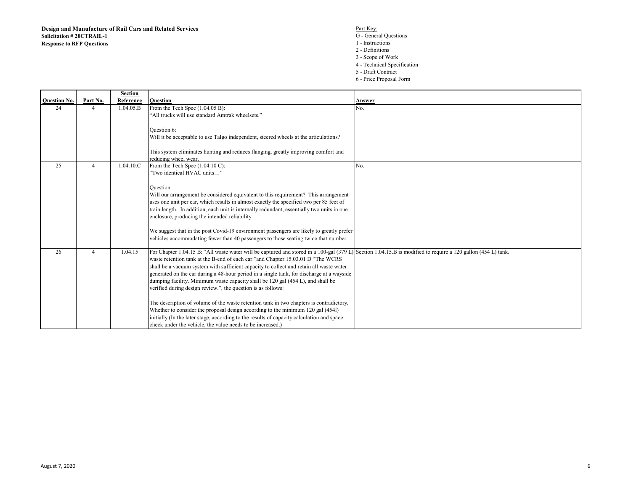- S<br>
G General Questions<br>
G General Questions
	- 1 Instructions
	- 2 Definitions
	- 3 Scope of Work
	- 4 Technical Specification
	- 5 Draft Contract
	- 6 Price Proposal Form

|                     |          | <b>Section</b> |                                                                                                                                                              |        |
|---------------------|----------|----------------|--------------------------------------------------------------------------------------------------------------------------------------------------------------|--------|
| <b>Ouestion No.</b> | Part No. | Reference      | <b>Ouestion</b>                                                                                                                                              | Answer |
| 24                  |          | 1.04.05.B      | From the Tech Spec (1.04.05 B):                                                                                                                              | No.    |
|                     |          |                | "All trucks will use standard Amtrak wheelsets."                                                                                                             |        |
|                     |          |                |                                                                                                                                                              |        |
|                     |          |                | Question 6:                                                                                                                                                  |        |
|                     |          |                | Will it be acceptable to use Talgo independent, steered wheels at the articulations?                                                                         |        |
|                     |          |                |                                                                                                                                                              |        |
|                     |          |                | This system eliminates hunting and reduces flanging, greatly improving comfort and                                                                           |        |
|                     |          |                | reducing wheel wear.                                                                                                                                         |        |
| 25                  | 4        | 1.04.10.C      | From the Tech Spec (1.04.10 C):                                                                                                                              | No.    |
|                     |          |                | "Two identical HVAC units"                                                                                                                                   |        |
|                     |          |                |                                                                                                                                                              |        |
|                     |          |                | Ouestion:                                                                                                                                                    |        |
|                     |          |                | Will our arrangement be considered equivalent to this requirement? This arrangement                                                                          |        |
|                     |          |                | uses one unit per car, which results in almost exactly the specified two per 85 feet of                                                                      |        |
|                     |          |                | train length. In addition, each unit is internally redundant, essentially two units in one                                                                   |        |
|                     |          |                | enclosure, producing the intended reliability.                                                                                                               |        |
|                     |          |                |                                                                                                                                                              |        |
|                     |          |                | We suggest that in the post Covid-19 environment passengers are likely to greatly prefer                                                                     |        |
|                     |          |                | vehicles accommodating fewer than 40 passengers to those seating twice that number.                                                                          |        |
| 26                  | 4        | 1.04.15        | For Chapter 1.04.15 B: "All waste water will be captured and stored in a 100-gal (379 L) Section 1.04.15.B is modified to require a 120 gallon (454 L) tank. |        |
|                     |          |                | waste retention tank at the B-end of each car."and Chapter 15.03.01 D "The WCRS                                                                              |        |
|                     |          |                | shall be a vacuum system with sufficient capacity to collect and retain all waste water                                                                      |        |
|                     |          |                | generated on the car during a 48-hour period in a single tank, for discharge at a wayside                                                                    |        |
|                     |          |                | dumping facility. Minimum waste capacity shall be 120 gal (454 L), and shall be                                                                              |        |
|                     |          |                | verified during design review.", the question is as follows:                                                                                                 |        |
|                     |          |                |                                                                                                                                                              |        |
|                     |          |                | The description of volume of the waste retention tank in two chapters is contradictory.                                                                      |        |
|                     |          |                | Whether to consider the proposal design according to the minimum 120 gal (454l)                                                                              |        |
|                     |          |                | initially. (In the later stage, according to the results of capacity calculation and space                                                                   |        |
|                     |          |                | check under the vehicle, the value needs to be increased.)                                                                                                   |        |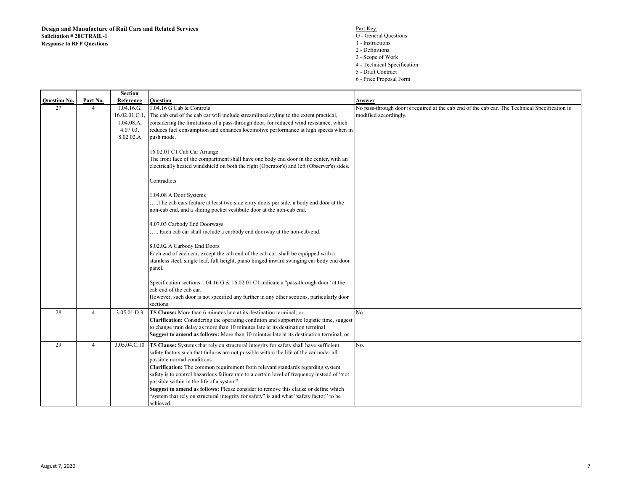- S<br>
G General Questions<br>
G General Questions
	- 1 Instructions
	- 2 Definitions
	-
	- 3 Scope of Work 4 Technical Specification
	- 5 Draft Contract
	- 6 Price Proposal Form

|                     |                          | Section       |                                                                                               |                                                                                                |
|---------------------|--------------------------|---------------|-----------------------------------------------------------------------------------------------|------------------------------------------------------------------------------------------------|
| <b>Question No.</b> | Part No.                 | Reference     | Question                                                                                      | Answer                                                                                         |
| 27                  | $\overline{\mathcal{A}}$ | $1.04.16.G$ , | 1.04.16 G Cab & Controls                                                                      | No pass-through door is required at the cab end of the cab car. The Technical Specification is |
|                     |                          | 16.02.01.C.1, | The cab end of the cab car will include streamlined styling to the extent practical,          | modified accordingly.                                                                          |
|                     |                          | 1.04.08.A.    | considering the limitations of a pass-through door, for reduced wind resistance, which        |                                                                                                |
|                     |                          | 4.07.03,      | reduces fuel consumption and enhances locomotive performance at high speeds when in           |                                                                                                |
|                     |                          | 8.02.02.A     | push mode.                                                                                    |                                                                                                |
|                     |                          |               |                                                                                               |                                                                                                |
|                     |                          |               | 16.02.01 C1 Cab Car Arrange                                                                   |                                                                                                |
|                     |                          |               | The front face of the compartment shall have one body end door in the center, with an         |                                                                                                |
|                     |                          |               | electrically heated windshield on both the right (Operator's) and left (Observer's) sides.    |                                                                                                |
|                     |                          |               |                                                                                               |                                                                                                |
|                     |                          |               | Contradicts                                                                                   |                                                                                                |
|                     |                          |               | 1.04.08 A Door Systems                                                                        |                                                                                                |
|                     |                          |               | The cab cars feature at least two side entry doors per side, a body end door at the           |                                                                                                |
|                     |                          |               | non-cab end, and a sliding pocket vestibule door at the non-cab end.                          |                                                                                                |
|                     |                          |               |                                                                                               |                                                                                                |
|                     |                          |               | 4.07.03 Carbody End Doorways                                                                  |                                                                                                |
|                     |                          |               | Each cab car shall include a carbody end doorway at the non-cab-end.                          |                                                                                                |
|                     |                          |               |                                                                                               |                                                                                                |
|                     |                          |               | 8.02.02 A Carbody End Doors                                                                   |                                                                                                |
|                     |                          |               | Each end of each car, except the cab end of the cab car, shall be equipped with a             |                                                                                                |
|                     |                          |               | stainless steel, single leaf, full height, piano hinged inward swinging car body end door     |                                                                                                |
|                     |                          |               | panel.                                                                                        |                                                                                                |
|                     |                          |               | Specification sections 1.04.16 G & 16.02.01 C1 indicate a "pass-through door" at the          |                                                                                                |
|                     |                          |               | cab end of the cab car.                                                                       |                                                                                                |
|                     |                          |               | However, such door is not specified any further in any other sections, particularly door      |                                                                                                |
|                     |                          |               | sections.                                                                                     |                                                                                                |
| 28                  | $\overline{4}$           | 3.05.01.D.3   | TS Clause: More than 6 minutes late at its destination terminal; or                           | No.                                                                                            |
|                     |                          |               | Clarification: Considering the operating condition and supportive logistic time, suggest      |                                                                                                |
|                     |                          |               | to change train delay as more than 10 minutes late at its destination terminal.               |                                                                                                |
|                     |                          |               | <b>Suggest to amend as follows:</b> More than 10 minutes late at its destination terminal; or |                                                                                                |
|                     |                          |               |                                                                                               |                                                                                                |
| 29                  | $\overline{4}$           | 3.05.04.C.10  | TS Clause: Systems that rely on structural integrity for safety shall have sufficient         | No.                                                                                            |
|                     |                          |               | safety factors such that failures are not possible within the life of the car under all       |                                                                                                |
|                     |                          |               | possible normal conditions.                                                                   |                                                                                                |
|                     |                          |               | Clarification: The common requirement from relevant standards regarding system                |                                                                                                |
|                     |                          |               | safety is to control hazardous failure rate to a certain level of frequency instead of "not   |                                                                                                |
|                     |                          |               | possible within in the life of a system"                                                      |                                                                                                |
|                     |                          |               | Suggest to amend as follows: Please consider to remove this clause or define which            |                                                                                                |
|                     |                          |               | "system that rely on structural integrity for safety" is and what "safety factor" to be       |                                                                                                |
|                     |                          |               | achieved.                                                                                     |                                                                                                |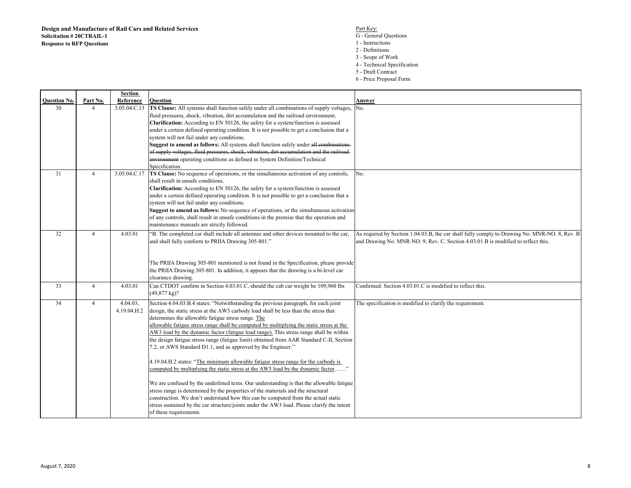- S<br>
G General Questions<br>
G General Questions
	- 1 Instructions
	- 2 Definitions
	- 3 Scope of Work
	- 4 Technical Specification
	- 5 Draft Contract
	- 6 Price Proposal Form

| <b>Question No.</b> | Part No.                 | Section<br>Reference | Question                                                                                                                                                                       | Answer                                                                                        |
|---------------------|--------------------------|----------------------|--------------------------------------------------------------------------------------------------------------------------------------------------------------------------------|-----------------------------------------------------------------------------------------------|
| 30                  | $\boldsymbol{\varDelta}$ | 3.05.04.C.13         | TS Clause: All systems shall function safely under all combinations of supply voltages,                                                                                        | No.                                                                                           |
|                     |                          |                      | fluid pressures, shock, vibration, dirt accumulation and the railroad environment.                                                                                             |                                                                                               |
|                     |                          |                      | Clarification: According to EN 50126, the safety for a system/function is assessed                                                                                             |                                                                                               |
|                     |                          |                      | under a certain defined operating condition. It is not possible to get a conclusion that a                                                                                     |                                                                                               |
|                     |                          |                      | system will not fail under any conditions.                                                                                                                                     |                                                                                               |
|                     |                          |                      | Suggest to amend as follows: All systems shall function safely under all combinations-                                                                                         |                                                                                               |
|                     |                          |                      | of supply voltages, fluid pressures, shock, vibration, dirt accumulation and the railroad-                                                                                     |                                                                                               |
|                     |                          |                      | environment operating conditions as defined in System Definition/Technical                                                                                                     |                                                                                               |
|                     |                          |                      | Specification.                                                                                                                                                                 |                                                                                               |
| 31                  | $\overline{4}$           | 3.05.04.C.17         | TS Clause: No sequence of operations, or the simultaneous activation of any controls,                                                                                          | No.                                                                                           |
|                     |                          |                      | shall result in unsafe conditions.                                                                                                                                             |                                                                                               |
|                     |                          |                      | Clarification: According to EN 50126, the safety for a system/function is assessed                                                                                             |                                                                                               |
|                     |                          |                      | under a certain defined operating condition. It is not possible to get a conclusion that a                                                                                     |                                                                                               |
|                     |                          |                      | system will not fail under any conditions.                                                                                                                                     |                                                                                               |
|                     |                          |                      | Suggest to amend as follows: No sequence of operations, or the simultaneous activation                                                                                         |                                                                                               |
|                     |                          |                      | of any controls, shall result in unsafe conditions in the premise that the operation and                                                                                       |                                                                                               |
|                     |                          |                      | maintenance manuals are strictly followed.                                                                                                                                     |                                                                                               |
| 32                  | $\overline{4}$           | 4.03.01              | "B. The completed car shall include all antennas and other devices mounted to the car,                                                                                         | As required by Section 1.04.03.B, the car shall fully comply to Drawing No. MNR-NO. 8, Rev. B |
|                     |                          |                      | and shall fully conform to PRIIA Drawing 305-801."                                                                                                                             | and Drawing No. MNR-NO. 9, Rev. C. Section 4.03.01.B is modified to reflect this.             |
|                     |                          |                      |                                                                                                                                                                                |                                                                                               |
|                     |                          |                      |                                                                                                                                                                                |                                                                                               |
|                     |                          |                      | The PRIIA Drawing 305-801 mentioned is not found in the Specification, please provide<br>the PRIIA Drawing 305-801. In addition, it appears that the drawing is a bi-level car |                                                                                               |
|                     |                          |                      | clearance drawing.                                                                                                                                                             |                                                                                               |
| 33                  | $\overline{4}$           |                      | Can CTDOT confirm in Section 4.03.01.C, should the cab car weight be 109,960 lbs                                                                                               | Confirmed. Section 4.03.01.C is modified to reflect this.                                     |
|                     |                          | 4.03.01              | $(49,877 \text{ kg})$ ?                                                                                                                                                        |                                                                                               |
|                     |                          |                      |                                                                                                                                                                                |                                                                                               |
| 34                  | $\overline{4}$           | 4.04.03,             | Section 4.04.03.B.4 states: "Notwithstanding the previous paragraph, for each joint                                                                                            | The specification is modified to clarify the requirement.                                     |
|                     |                          | 4.19.04.H.2          | design, the static stress at the AW3 carbody load shall be less than the stress that                                                                                           |                                                                                               |
|                     |                          |                      | determines the allowable fatigue stress range. The                                                                                                                             |                                                                                               |
|                     |                          |                      | allowable fatigue stress range shall be computed by multiplying the static stress at the                                                                                       |                                                                                               |
|                     |                          |                      | AW3 load by the dynamic factor (fatigue load range). This stress range shall be within                                                                                         |                                                                                               |
|                     |                          |                      | the design fatigue stress range (fatigue limit) obtained from AAR Standard C-II, Section<br>7.2, or AWS Standard D1.1, and as approved by the Engineer."                       |                                                                                               |
|                     |                          |                      |                                                                                                                                                                                |                                                                                               |
|                     |                          |                      | 4.19.04.H.2 states: "The minimum allowable fatigue stress range for the carbody is                                                                                             |                                                                                               |
|                     |                          |                      | computed by multiplying the static stress at the AW3 load by the dynamic factor"                                                                                               |                                                                                               |
|                     |                          |                      |                                                                                                                                                                                |                                                                                               |
|                     |                          |                      | We are confused by the underlined texts. Our understanding is that the allowable fatigue                                                                                       |                                                                                               |
|                     |                          |                      | stress range is determined by the properties of the materials and the structural                                                                                               |                                                                                               |
|                     |                          |                      | construction. We don't understand how this can be computed from the actual static                                                                                              |                                                                                               |
|                     |                          |                      | stress sustained by the car structure/joints under the AW3 load. Please clarify the intent                                                                                     |                                                                                               |
|                     |                          |                      | of these requirements.                                                                                                                                                         |                                                                                               |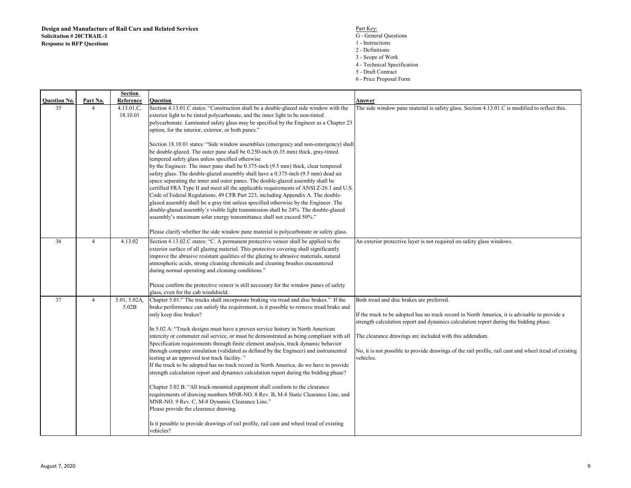- S<br>
G General Questions<br>
G General Questions
	- 1 Instructions
	- 2 Definitions
	- 3 Scope of Work
	- 4 Technical Specification
	- 5 Draft Contract
	- 6 Price Proposal Form

|                     |                | Section                |                                                                                                                                                                                                                                                                                                                                                                                                                                                                                                                                                                                                                                                                                                                                                                                                                                                                                                                                                                                                                                                                                                                                                                                  |                                                                                                                                                                                                                                                                                                                                                                                                                      |
|---------------------|----------------|------------------------|----------------------------------------------------------------------------------------------------------------------------------------------------------------------------------------------------------------------------------------------------------------------------------------------------------------------------------------------------------------------------------------------------------------------------------------------------------------------------------------------------------------------------------------------------------------------------------------------------------------------------------------------------------------------------------------------------------------------------------------------------------------------------------------------------------------------------------------------------------------------------------------------------------------------------------------------------------------------------------------------------------------------------------------------------------------------------------------------------------------------------------------------------------------------------------|----------------------------------------------------------------------------------------------------------------------------------------------------------------------------------------------------------------------------------------------------------------------------------------------------------------------------------------------------------------------------------------------------------------------|
| <b>Question No.</b> | Part No.       | Reference              | Question                                                                                                                                                                                                                                                                                                                                                                                                                                                                                                                                                                                                                                                                                                                                                                                                                                                                                                                                                                                                                                                                                                                                                                         | Answer                                                                                                                                                                                                                                                                                                                                                                                                               |
| 35                  | 4              | 4.13.01.C,<br>18.10.01 | Section 4.13.01.C states: "Construction shall be a double-glazed side window with the<br>exterior light to be tinted polycarbonate, and the inner light to be non-tinted<br>polycarbonate. Laminated safety glass may be specified by the Engineer as a Chapter 23<br>option, for the interior, exterior, or both panes."<br>Section 18.10.01 states: "Side window assemblies (emergency and non-emergency) shall                                                                                                                                                                                                                                                                                                                                                                                                                                                                                                                                                                                                                                                                                                                                                                | The side window pane material is safety glass. Section 4.13.01.C is modified to reflect this.                                                                                                                                                                                                                                                                                                                        |
|                     |                |                        | be double-glazed. The outer pane shall be 0.250-inch (6.35 mm) thick, gray-tinted<br>tempered safety glass unless specified otherwise<br>by the Engineer. The inner pane shall be 0.375-inch (9.5 mm) thick, clear tempered<br>safety glass. The double-glazed assembly shall have a 0.375-inch (9.5 mm) dead air<br>space separating the inner and outer panes. The double-glazed assembly shall be<br>certified FRA Type II and meet all the applicable requirements of ANSI Z-26.1 and U.S.<br>Code of Federal Regulations, 49 CFR Part 223, including Appendix A. The double-<br>glazed assembly shall be a gray tint unless specified otherwise by the Engineer. The<br>double-glazed assembly's visible light transmission shall be 24%. The double-glazed<br>assembly's maximum solar energy transmittance shall not exceed 50%."<br>Please clarify whether the side window pane material is polycarbonate or safety glass.                                                                                                                                                                                                                                               |                                                                                                                                                                                                                                                                                                                                                                                                                      |
| 36                  | $\overline{4}$ | 4.13.02                | Section 4.13.02.C states: "C. A permanent protective veneer shall be applied to the<br>exterior surface of all glazing material. This protective covering shall significantly<br>improve the abrasive resistant qualities of the glazing to abrasive materials, natural<br>atmospheric acids, strong cleaning chemicals and cleaning brushes encountered<br>during normal operating and cleaning conditions."<br>Please confirm the protective veneer is still necessary for the window panes of safety<br>glass, even for the cab windshield.                                                                                                                                                                                                                                                                                                                                                                                                                                                                                                                                                                                                                                   | An exterior protective layer is not required on safety glass windows.                                                                                                                                                                                                                                                                                                                                                |
| 37                  | $\overline{4}$ | 5.01, 5.02A,<br>5.02B  | Chapter 5.01:" The trucks shall incorporate braking via tread and disc brakes." If the<br>brake performance can satisfy the requirement, is it possible to remove tread brake and<br>only keep disc brakes?<br>In 5.02 A: "Truck designs must have a proven service history in North American<br>intercity or commuter rail service, or must be demonstrated as being compliant with all<br>Specification requirements through finite element analysis, truck dynamic behavior<br>through computer simulation (validated as defined by the Engineer) and instrumented<br>testing at an approved test track facility."<br>If the truck to be adopted has no track record in North America, do we have to provide<br>strength calculation report and dynamics calculation report during the bidding phase?<br>Chapter 5.02 B: "All truck-mounted equipment shall conform to the clearance<br>requirements of drawing numbers MNR-NO. 8 Rev. B, M-8 Static Clearance Line, and<br>MNR-NO. 9 Rev. C, M-8 Dynamic Clearance Line."<br>Please provide the clearance drawing.<br>Is it possible to provide drawings of rail profile, rail cant and wheel tread of existing<br>vehicles? | Both tread and disc brakes are preferred.<br>If the truck to be adopted has no track record in North America, it is advisable to provide a<br>strength calculation report and dynamics calculation report during the bidding phase.<br>The clearance drawings are included with this addendum.<br>No, it is not possible to provide drawings of the rail profile, rail cant and wheel tread of existing<br>vehicles. |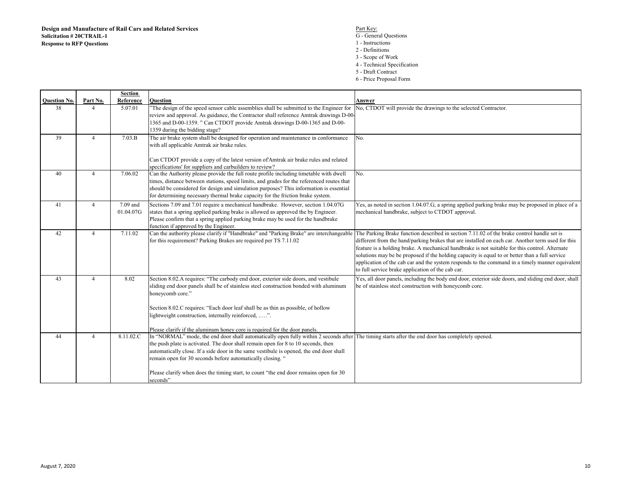- S<br>
G General Questions<br>
G General Questions
	- 1 Instructions
	- 2 Definitions
	- 3 Scope of Work 4 - Technical Specification
	- 5 Draft Contract
	-
	- 6 Price Proposal Form

|                     |                | <b>Section</b> |                                                                                                                                                                                                                                |                                                                                                     |
|---------------------|----------------|----------------|--------------------------------------------------------------------------------------------------------------------------------------------------------------------------------------------------------------------------------|-----------------------------------------------------------------------------------------------------|
| <b>Ouestion No.</b> | Part No.       | Reference      | <b>Ouestion</b>                                                                                                                                                                                                                | Answer                                                                                              |
| 38                  | 4              | 5.07.01        | "The design of the speed sensor cable assemblies shall be submitted to the Engineer for                                                                                                                                        | No, CTDOT will provide the drawings to the selected Contractor.                                     |
|                     |                |                | review and approval. As guidance, the Contractor shall reference Amtrak drawings D-00-                                                                                                                                         |                                                                                                     |
|                     |                |                | 1365 and D-00-1359. " Can CTDOT provide Amtrak drawings D-00-1365 and D-00-                                                                                                                                                    |                                                                                                     |
|                     |                |                | 1359 during the bidding stage?                                                                                                                                                                                                 |                                                                                                     |
| 39                  | $\overline{4}$ | 7.03.B         | The air brake system shall be designed for operation and maintenance in conformance                                                                                                                                            | No.                                                                                                 |
|                     |                |                | with all applicable Amtrak air brake rules.                                                                                                                                                                                    |                                                                                                     |
|                     |                |                |                                                                                                                                                                                                                                |                                                                                                     |
|                     |                |                | Can CTDOT provide a copy of the latest version of Amtrak air brake rules and related                                                                                                                                           |                                                                                                     |
|                     |                |                | specifications' for suppliers and carbuilders to review?                                                                                                                                                                       |                                                                                                     |
| 40                  | $\overline{4}$ | 7.06.02        | Can the Authority please provide the full route profile including timetable with dwell                                                                                                                                         | No.                                                                                                 |
|                     |                |                | times, distance between stations, speed limits, and grades for the referenced routes that                                                                                                                                      |                                                                                                     |
|                     |                |                | should be considered for design and simulation purposes? This information is essential                                                                                                                                         |                                                                                                     |
|                     |                |                | for determining necessary thermal brake capacity for the friction brake system.                                                                                                                                                |                                                                                                     |
| 41                  | $\overline{4}$ | 7.09 and       | Sections 7.09 and 7.01 require a mechanical handbrake. However, section 1.04.07G                                                                                                                                               | Yes, as noted in section 1.04.07.G, a spring applied parking brake may be proposed in place of a    |
|                     |                | 01.04.07G      | states that a spring applied parking brake is allowed as approved the by Engineer.                                                                                                                                             | mechanical handbrake, subject to CTDOT approval.                                                    |
|                     |                |                | Please confirm that a spring applied parking brake may be used for the handbrake                                                                                                                                               |                                                                                                     |
|                     |                |                | function if approved by the Engineer.                                                                                                                                                                                          |                                                                                                     |
| 42                  | $\overline{4}$ | 7.11.02        | Can the authority please clarify if "Handbrake" and "Parking Brake" are interchangeable                                                                                                                                        | The Parking Brake function described in section 7.11.02 of the brake control handle set is          |
|                     |                |                | for this requirement? Parking Brakes are required per TS 7.11.02                                                                                                                                                               | different from the hand/parking brakes that are installed on each car. Another term used for this   |
|                     |                |                |                                                                                                                                                                                                                                | feature is a holding brake. A mechanical handbrake is not suitable for this control. Alternate      |
|                     |                |                |                                                                                                                                                                                                                                | solutions may be be proposed if the holding capacity is equal to or better than a full service      |
|                     |                |                |                                                                                                                                                                                                                                | application of the cab car and the system responds to the command in a timely manner equivalent     |
|                     |                |                |                                                                                                                                                                                                                                | to full service brake application of the cab car.                                                   |
| 43                  | $\overline{4}$ | 8.02           | Section 8.02.A requires: "The carbody end door, exterior side doors, and vestibule                                                                                                                                             | Yes, all door panels, including the body end door, exterior side doors, and sliding end door, shall |
|                     |                |                | sliding end door panels shall be of stainless steel construction bonded with aluminum                                                                                                                                          | be of stainless steel construction with honeycomb core.                                             |
|                     |                |                | honeycomb core."                                                                                                                                                                                                               |                                                                                                     |
|                     |                |                |                                                                                                                                                                                                                                |                                                                                                     |
|                     |                |                | Section 8.02.C requires: "Each door leaf shall be as thin as possible, of hollow                                                                                                                                               |                                                                                                     |
|                     |                |                | lightweight construction, internally reinforced, ".                                                                                                                                                                            |                                                                                                     |
|                     |                |                |                                                                                                                                                                                                                                |                                                                                                     |
| 44                  | $\overline{4}$ | 8.11.02.C      | Please clarify if the aluminum honey core is required for the door panels.<br>In "NORMAL" mode, the end door shall automatically open fully within 2 seconds after The timing starts after the end door has completely opened. |                                                                                                     |
|                     |                |                | the push plate is activated. The door shall remain open for 8 to 10 seconds, then                                                                                                                                              |                                                                                                     |
|                     |                |                | automatically close. If a side door in the same vestibule is opened, the end door shall                                                                                                                                        |                                                                                                     |
|                     |                |                | remain open for 30 seconds before automatically closing. "                                                                                                                                                                     |                                                                                                     |
|                     |                |                |                                                                                                                                                                                                                                |                                                                                                     |
|                     |                |                | Please clarify when does the timing start, to count "the end door remains open for 30                                                                                                                                          |                                                                                                     |
|                     |                |                | seconds"                                                                                                                                                                                                                       |                                                                                                     |
|                     |                |                |                                                                                                                                                                                                                                |                                                                                                     |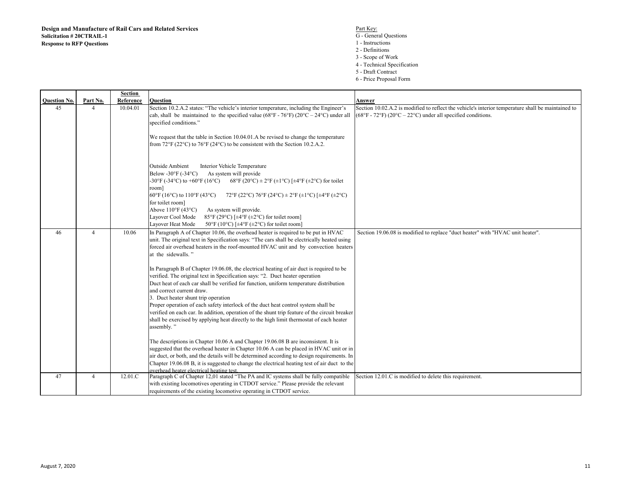- 2 Definitions
- 3 Scope of Work
- 4 Technical Specification
- 5 Draft Contract
- 6 Price Proposal Form

|                     |                | <b>Section</b> |                                                                                                                                                                                                                                                                                                                                                                                                                                                                                                                                                                                                                                                                                                                                                                                                                                                                                                                                           |                                                                                                                                                                                                 |
|---------------------|----------------|----------------|-------------------------------------------------------------------------------------------------------------------------------------------------------------------------------------------------------------------------------------------------------------------------------------------------------------------------------------------------------------------------------------------------------------------------------------------------------------------------------------------------------------------------------------------------------------------------------------------------------------------------------------------------------------------------------------------------------------------------------------------------------------------------------------------------------------------------------------------------------------------------------------------------------------------------------------------|-------------------------------------------------------------------------------------------------------------------------------------------------------------------------------------------------|
| <b>Ouestion No.</b> | Part No.       | Reference      | <b>Ouestion</b>                                                                                                                                                                                                                                                                                                                                                                                                                                                                                                                                                                                                                                                                                                                                                                                                                                                                                                                           | Answer                                                                                                                                                                                          |
| 45                  | 4              | 10.04.01       | Section 10.2.A.2 states: "The vehicle's interior temperature, including the Engineer's<br>cab, shall be maintained to the specified value (68°F - 76°F) (20°C – 24°C) under all<br>specified conditions."                                                                                                                                                                                                                                                                                                                                                                                                                                                                                                                                                                                                                                                                                                                                 | Section 10.02.A.2 is modified to reflect the vehicle's interior temperature shall be maintained to<br>$(68^{\circ}F - 72^{\circ}F) (20^{\circ}C - 22^{\circ}C)$ under all specified conditions. |
|                     |                |                | We request that the table in Section 10.04.01.A be revised to change the temperature<br>from $72^{\circ}$ F (22 $^{\circ}$ C) to $76^{\circ}$ F (24 $^{\circ}$ C) to be consistent with the Section 10.2.A.2.                                                                                                                                                                                                                                                                                                                                                                                                                                                                                                                                                                                                                                                                                                                             |                                                                                                                                                                                                 |
|                     |                |                | <b>Outside Ambient</b><br>Interior Vehicle Temperature<br>Below -30 $\mathrm{F}$ (-34 $\mathrm{C}$ )<br>As system will provide<br>$-30^{\circ}$ F (-34 $^{\circ}$ C) to $+60^{\circ}$ F (16 $^{\circ}$ C)<br>68°F (20°C) ± 2°F (±1°C) [±4°F (±2°C) for toilet<br>room]<br>$60^{\circ}$ F (16°C) to 110°F (43°C)<br>72°F (22°C) 76°F (24°C) ± 2°F (±1°C) [±4°F (±2°C)<br>for toilet room]<br>Above $110^{\circ}$ F (43°C)<br>As system will provide.<br>85°F (29°C) [ $\pm$ 4°F ( $\pm$ 2°C) for toilet room]<br>Layover Cool Mode<br>Layover Heat Mode<br>50°F (10°C) [ $\pm$ 4°F ( $\pm$ 2°C) for toilet room]                                                                                                                                                                                                                                                                                                                           |                                                                                                                                                                                                 |
| 46                  | $\overline{4}$ | 10.06          | In Paragraph A of Chapter 10.06, the overhead heater is required to be put in HVAC<br>unit. The original text in Specification says: "The cars shall be electrically heated using<br>forced air overhead heaters in the roof-mounted HVAC unit and by convection heaters<br>at the sidewalls."<br>In Paragraph B of Chapter 19.06.08, the electrical heating of air duct is required to be<br>verified. The original text in Specification says: "2. Duct heater operation<br>Duct heat of each car shall be verified for function, uniform temperature distribution<br>and correct current draw.<br>3. Duct heater shunt trip operation<br>Proper operation of each safety interlock of the duct heat control system shall be<br>verified on each car. In addition, operation of the shunt trip feature of the circuit breaker<br>shall be exercised by applying heat directly to the high limit thermostat of each heater<br>assembly." | Section 19.06.08 is modified to replace "duct heater" with "HVAC unit heater".                                                                                                                  |
|                     |                |                | The descriptions in Chapter 10.06 A and Chapter 19.06.08 B are inconsistent. It is<br>suggested that the overhead heater in Chapter 10.06 A can be placed in HVAC unit or in<br>air duct, or both, and the details will be determined according to design requirements. In<br>Chapter 19.06.08 B, it is suggested to change the electrical heating test of air duct to the<br>overhead heater electrical heating test.                                                                                                                                                                                                                                                                                                                                                                                                                                                                                                                    |                                                                                                                                                                                                 |
| 47                  | $\overline{4}$ | 12.01.C        | Paragraph C of Chapter 12,01 stated "The PA and IC systems shall be fully compatible<br>with existing locomotives operating in CTDOT service." Please provide the relevant<br>requirements of the existing locomotive operating in CTDOT service.                                                                                                                                                                                                                                                                                                                                                                                                                                                                                                                                                                                                                                                                                         | Section 12.01.C is modified to delete this requirement.                                                                                                                                         |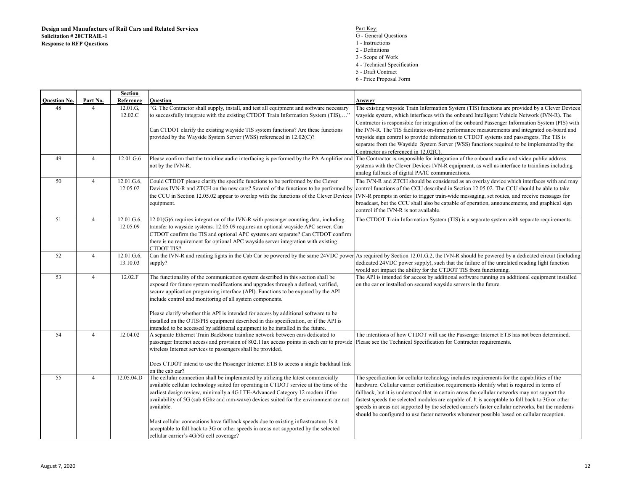## S<br>
G - General Questions<br>
G - General Questions

- 1 Instructions
- 2 Definitions
- 3 Scope of Work
- 4 Technical Specification
- 5 Draft Contract
- 6 Price Proposal Form

|                     |                | <b>Section</b> |                                                                                                                                                              |                                                                                                                                                                                    |
|---------------------|----------------|----------------|--------------------------------------------------------------------------------------------------------------------------------------------------------------|------------------------------------------------------------------------------------------------------------------------------------------------------------------------------------|
| <b>Ouestion No.</b> | Part No.       | Reference      | <b>Ouestion</b>                                                                                                                                              | Answer                                                                                                                                                                             |
| 48                  | $\overline{4}$ | 12.01.G,       | "G. The Contractor shall supply, install, and test all equipment and software necessary                                                                      | The existing wayside Train Information System (TIS) functions are provided by a Clever Devices                                                                                     |
|                     |                | 12.02.C        | to successfully integrate with the existing CTDOT Train Information System (TIS),"                                                                           | wayside system, which interfaces with the onboard Intelligent Vehicle Network (IVN-R). The                                                                                         |
|                     |                |                |                                                                                                                                                              | Contractor is responsible for integration of the onboard Passenger Information System (PIS) with                                                                                   |
|                     |                |                | Can CTDOT clarify the existing wayside TIS system functions? Are these functions                                                                             | the IVN-R. The TIS facilitates on-time performance measurements and integrated on-board and                                                                                        |
|                     |                |                | provided by the Wayside System Server (WSS) referenced in 12.02(C)?                                                                                          | wayside sign control to provide information to CTDOT systems and passengers. The TIS is                                                                                            |
|                     |                |                |                                                                                                                                                              | separate from the Wayside System Server (WSS) functions required to be implemented by the                                                                                          |
| 49                  | $\overline{4}$ | 12.01.G.6      | Please confirm that the trainline audio interfacing is performed by the PA Amplifier and                                                                     | Contractor as referenced in $12.02(C)$ .<br>The Contractor is responsible for integration of the onboard audio and video public address                                            |
|                     |                |                | not by the IVN-R.                                                                                                                                            | systems with the Clever Devices IVN-R equipment, as well as interface to trainlines including                                                                                      |
|                     |                |                |                                                                                                                                                              | analog fallback of digital PA/IC communications.                                                                                                                                   |
| 50                  | $\overline{4}$ | 12.01.G.6,     | Could CTDOT please clarify the specific functions to be performed by the Clever                                                                              | The IVN-R and ZTCH should be considered as an overlay device which interfaces with and may                                                                                         |
|                     |                | 12.05.02       | Devices IVN-R and ZTCH on the new cars? Several of the functions to be performed by                                                                          | control functions of the CCU described in Section 12.05.02. The CCU should be able to take                                                                                         |
|                     |                |                | the CCU in Section 12.05.02 appear to overlap with the functions of the Clever Devices                                                                       | IVN-R prompts in order to trigger train-wide messaging, set routes, and receive messages for                                                                                       |
|                     |                |                | equipment.                                                                                                                                                   | broadcast, but the CCU shall also be capable of operation, announcements, and graphical sign                                                                                       |
|                     |                |                |                                                                                                                                                              | control if the IVN-R is not available.                                                                                                                                             |
| 51                  | $\overline{4}$ | 12.01.G.6,     | 12.01(G)6 requires integration of the IVN-R with passenger counting data, including                                                                          | The CTDOT Train Information System (TIS) is a separate system with separate requirements.                                                                                          |
|                     |                | 12.05.09       | transfer to wayside systems. 12.05.09 requires an optional wayside APC server. Can                                                                           |                                                                                                                                                                                    |
|                     |                |                | CTDOT confirm the TIS and optional APC systems are separate? Can CTDOT confirm                                                                               |                                                                                                                                                                                    |
|                     |                |                | there is no requirement for optional APC wayside server integration with existing                                                                            |                                                                                                                                                                                    |
|                     |                |                | CTDOT TIS?                                                                                                                                                   |                                                                                                                                                                                    |
| 52                  | $\overline{4}$ | 12.01.G.6,     |                                                                                                                                                              | Can the IVN-R and reading lights in the Cab Car be powered by the same 24VDC power As required by Section 12.01.G.2, the IVN-R should be powered by a dedicated circuit (including |
|                     |                | 13.10.03       | supply?                                                                                                                                                      | dedicated 24VDC power supply), such that the failure of the unrelated reading light function                                                                                       |
|                     |                |                |                                                                                                                                                              | would not impact the ability for the CTDOT TIS from functioning.                                                                                                                   |
| 53                  | $\overline{4}$ | 12.02.F        | The functionality of the communication system described in this section shall be                                                                             | The API is intended for access by additional software running on additional equipment installed                                                                                    |
|                     |                |                | exposed for future system modifications and upgrades through a defined, verified,                                                                            | on the car or installed on secured wayside servers in the future.                                                                                                                  |
|                     |                |                | secure application programing interface (API). Functions to be exposed by the API                                                                            |                                                                                                                                                                                    |
|                     |                |                | include control and monitoring of all system components.                                                                                                     |                                                                                                                                                                                    |
|                     |                |                | Please clarify whether this API is intended for access by additional software to be                                                                          |                                                                                                                                                                                    |
|                     |                |                | installed on the OTIS/PIS equipment described in this specification, or if the API is                                                                        |                                                                                                                                                                                    |
|                     |                |                | intended to be accessed by additional equipment to be installed in the future.                                                                               |                                                                                                                                                                                    |
| 54                  | $\overline{4}$ | 12.04.02       | A separate Ethernet Train Backbone trainline network between cars dedicated to                                                                               | The intentions of how CTDOT will use the Passenger Internet ETB has not been determined.                                                                                           |
|                     |                |                | passenger Internet access and provision of 802.11ax access points in each car to provide Please see the Technical Specification for Contractor requirements. |                                                                                                                                                                                    |
|                     |                |                | wireless Internet services to passengers shall be provided.                                                                                                  |                                                                                                                                                                                    |
|                     |                |                |                                                                                                                                                              |                                                                                                                                                                                    |
|                     |                |                | Does CTDOT intend to use the Passenger Internet ETB to access a single backhaul link                                                                         |                                                                                                                                                                                    |
| $\overline{55}$     | $\overline{4}$ | 12.05.04.D     | on the cab car?<br>The cellular connection shall be implemented by utilizing the latest commercially                                                         | The specification for cellular technology includes requirements for the capabilities of the                                                                                        |
|                     |                |                | available cellular technology suited for operating in CTDOT service at the time of the                                                                       | hardware. Cellular carrier certification requirements identify what is required in terms of                                                                                        |
|                     |                |                | earliest design review, minimally a 4G LTE-Advanced Category 12 modem if the                                                                                 | fallback, but it is understood that in certain areas the cellular networks may not support the                                                                                     |
|                     |                |                | availability of 5G (sub 6Ghz and mm-wave) devices suited for the environment are not                                                                         | fastest speeds the selected modules are capable of. It is acceptable to fall back to 3G or other                                                                                   |
|                     |                |                | available.                                                                                                                                                   | speeds in areas not supported by the selected carrier's faster cellular networks, but the modems                                                                                   |
|                     |                |                |                                                                                                                                                              | should be configured to use faster networks whenever possible based on cellular reception.                                                                                         |
|                     |                |                | Most cellular connections have fallback speeds due to existing infrastructure. Is it                                                                         |                                                                                                                                                                                    |
|                     |                |                | acceptable to fall back to 3G or other speeds in areas not supported by the selected                                                                         |                                                                                                                                                                                    |
|                     |                |                | cellular carrier's 4G/5G cell coverage?                                                                                                                      |                                                                                                                                                                                    |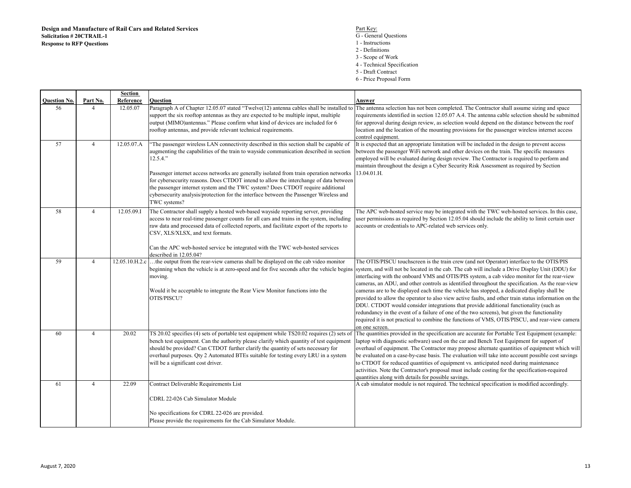$\frac{\text{Part Key}}{\text{Part Key}}$ G - General Questions1 - Instructions 2 - Definitions 3 - Scope of Work 4 - Technical Specification5 - Draft Contract6 - Price Proposal Form

**Question No. Part No. Section ReferenceReference Question**<br>12.05.07 Paragraph **Answer** <sup>56</sup> <sup>4</sup> 12.05.07 Paragraph A of Chapter 12.05.07 stated "Twelve(12) antenna cables shall be installed to support the six rooftop antennas as they are expected to be multiple input, multiple output (MIMO)antennas." Please confirm what kind of devices are included for 6 rooftop antennas, and provide relevant technical requirements.The antenna selection has not been completed. The Contractor shall assume sizing and space requirements identified in section 12.05.07 A.4. The antenna cable selection should be submitted for approval during design review, as selection would depend on the distance between the roof location and the location of the mounting provisions for the passenger wireless internet access control equipment. It is expected that an appropriate limitation will be included in the design to prevent access <sup>57</sup> <sup>4</sup> 12.05.07.A "The passenger wireless LAN connectivity described in this section shall be capable of augmenting the capabilities of the train to wayside communication described in section 12.5.4."Passenger internet access networks are generally isolated from train operation networks for cybersecurity reasons. Does CTDOT intend to allow the interchange of data between the passenger internet system and the TWC system? Does CTDOT require additional cybersecurity analysis/protection for the interface between the Passenger Wireless and TWC systems? <sup>58</sup> <sup>4</sup> 12.05.09.I The Contractor shall supply a hosted web-based wayside reporting server, providing between the passenger WiFi network and other devices on the train. The specific measures employed will be evaluated during design review. The Contractor is required to perform and maintain throughout the design a Cyber Security Risk Assessment as required by Section 13.04.01.H.access to near real-time passenger counts for all cars and trains in the system, including raw data and processed data of collected reports, and facilitate export of the reports to CSV, XLS/XLSX, and text formats.Can the APC web-hosted service be integrated with the TWC web-hosted services described in 12.05.04? <sup>59</sup> <sup>4</sup> 12.05.10.H.2.c …the output from the rear-view cameras shall be displayed on the cab video monitor The APC web-hosted service may be integrated with the TWC web-hosted services. In this case, user permissions as required by Section 12.05.04 should include the ability to limit certain user accounts or credentials to APC-related web services only.beginning when the vehicle is at zero-speed and for five seconds after the vehicle begins system, and will not be located in the cab. The cab will include a Drive Display Unit (DDU) for moving.Would it be acceptable to integrate the Rear View Monitor functions into the OTIS/PISCU?The OTIS/PISCU touchscreen is the train crew (and not Operator) interface to the OTIS/PIS interfacing with the onboard VMS and OTIS/PIS system, a cab video monitor for the rear-view cameras, an ADU, and other controls as identified throughout the specification. As the rear-view cameras are to be displayed each time the vehicle has stopped, a dedicated display shall be provided to allow the operator to also view active faults, and other train status information on the DDU. CTDOT would consider integrations that provide additional functionality (such as redundancy in the event of a failure of one of the two screens), but given the functionality required it is not practical to combine the functions of VMS, OTIS/PISCU, and rear-view camera on one screen. The quantities provided in the specification are accurate for Portable Test Equipment (example: <sup>60</sup> <sup>4</sup> 20.02 TS 20.02 specifies (4) sets of portable test equipment while TS20.02 requires (2) sets of bench test equipment. Can the authority please clarify which quantity of test equipment should be provided? Can CTDOT further clarify the quantity of sets necessary for overhaul purposes. Qty 2 Automated BTEs suitable for testing every LRU in a system will be a significant cost driver.laptop with diagnostic software) used on the car and Bench Test Equipment for support of overhaul of equipment. The Contractor may propose alternate quantities of equipment which will be evaluated on a case-by-case basis. The evaluation will take into account possible cost savings to CTDOT for reduced quantities of equipment vs. anticipated need during maintenance activities. Note the Contractor's proposal must include costing for the specification-required quantities along with details for possible savings. A cab simulator module is not required. The technical specification is modified accordingly.<sup>61</sup> <sup>4</sup> 22.09 Contract Deliverable Requirements List CDRL 22-026 Cab Simulator ModuleNo specifications for CDRL 22-026 are provided.

Please provide the requirements for the Cab Simulator Module.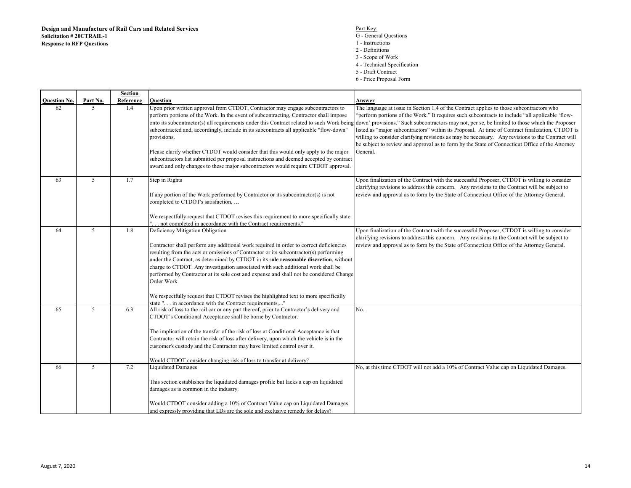S<br>
G - General Questions<br>
G - General Questions 1 - Instructions 2 - Definitions 3 - Scope of Work 4 - Technical Specification5 - Draft Contract6 - Price Proposal Form

|                     |          | <b>Section</b> |                                                                                           |                                                                                                                                                                                                     |
|---------------------|----------|----------------|-------------------------------------------------------------------------------------------|-----------------------------------------------------------------------------------------------------------------------------------------------------------------------------------------------------|
| <b>Ouestion No.</b> | Part No. | Reference      | Ouestion                                                                                  | Answer                                                                                                                                                                                              |
| 62                  | 5        | 1.4            | Upon prior written approval from CTDOT, Contractor may engage subcontractors to           | The language at issue in Section 1.4 of the Contract applies to those subcontractors who                                                                                                            |
|                     |          |                | perform portions of the Work. In the event of subcontracting, Contractor shall impose     | "perform portions of the Work." It requires such subcontracts to include "all applicable 'flow-                                                                                                     |
|                     |          |                | onto its subcontractor(s) all requirements under this Contract related to such Work being | down' provisions." Such subcontractors may not, per se, be limited to those which the Proposer                                                                                                      |
|                     |          |                | subcontracted and, accordingly, include in its subcontracts all applicable "flow-down"    | listed as "major subcontractors" within its Proposal. At time of Contract finalization, CTDOT is                                                                                                    |
|                     |          |                | provisions.                                                                               | willing to consider clarifying revisions as may be necessary. Any revisions to the Contract will<br>be subject to review and approval as to form by the State of Connecticut Office of the Attorney |
|                     |          |                | Please clarify whether CTDOT would consider that this would only apply to the major       | General.                                                                                                                                                                                            |
|                     |          |                | subcontractors list submitted per proposal instructions and deemed accepted by contract   |                                                                                                                                                                                                     |
|                     |          |                | award and only changes to these major subcontractors would require CTDOT approval.        |                                                                                                                                                                                                     |
|                     |          |                |                                                                                           |                                                                                                                                                                                                     |
| 63                  | 5        | 1.7            | Step in Rights                                                                            | Upon finalization of the Contract with the successful Proposer, CTDOT is willing to consider                                                                                                        |
|                     |          |                |                                                                                           | clarifying revisions to address this concern. Any revisions to the Contract will be subject to                                                                                                      |
|                     |          |                | If any portion of the Work performed by Contractor or its subcontractor(s) is not         | review and approval as to form by the State of Connecticut Office of the Attorney General.                                                                                                          |
|                     |          |                | completed to CTDOT's satisfaction,                                                        |                                                                                                                                                                                                     |
|                     |          |                | We respectfully request that CTDOT revises this requirement to more specifically state    |                                                                                                                                                                                                     |
|                     |          |                | " not completed in accordance with the Contract requirements."                            |                                                                                                                                                                                                     |
| 64                  | 5        | 1.8            | Deficiency Mitigation Obligation                                                          | Upon finalization of the Contract with the successful Proposer, CTDOT is willing to consider                                                                                                        |
|                     |          |                |                                                                                           | clarifying revisions to address this concern. Any revisions to the Contract will be subject to                                                                                                      |
|                     |          |                | Contractor shall perform any additional work required in order to correct deficiencies    | review and approval as to form by the State of Connecticut Office of the Attorney General.                                                                                                          |
|                     |          |                | resulting from the acts or omissions of Contractor or its subcontractor(s) performing     |                                                                                                                                                                                                     |
|                     |          |                | under the Contract, as determined by CTDOT in its sole reasonable discretion, without     |                                                                                                                                                                                                     |
|                     |          |                | charge to CTDOT. Any investigation associated with such additional work shall be          |                                                                                                                                                                                                     |
|                     |          |                | performed by Contractor at its sole cost and expense and shall not be considered Change   |                                                                                                                                                                                                     |
|                     |          |                | Order Work.                                                                               |                                                                                                                                                                                                     |
|                     |          |                |                                                                                           |                                                                                                                                                                                                     |
|                     |          |                | We respectfully request that CTDOT revises the highlighted text to more specifically      |                                                                                                                                                                                                     |
|                     |          |                | state " in accordance with the Contract requirements,"                                    |                                                                                                                                                                                                     |
| 65                  | 5        | 6.3            | All risk of loss to the rail car or any part thereof, prior to Contractor's delivery and  | No.                                                                                                                                                                                                 |
|                     |          |                | CTDOT's Conditional Acceptance shall be borne by Contractor.                              |                                                                                                                                                                                                     |
|                     |          |                | The implication of the transfer of the risk of loss at Conditional Acceptance is that     |                                                                                                                                                                                                     |
|                     |          |                | Contractor will retain the risk of loss after delivery, upon which the vehicle is in the  |                                                                                                                                                                                                     |
|                     |          |                | customer's custody and the Contractor may have limited control over it.                   |                                                                                                                                                                                                     |
|                     |          |                |                                                                                           |                                                                                                                                                                                                     |
|                     |          |                | Would CTDOT consider changing risk of loss to transfer at delivery?                       |                                                                                                                                                                                                     |
| 66                  | 5        | 7.2            | <b>Liquidated Damages</b>                                                                 | No, at this time CTDOT will not add a 10% of Contract Value cap on Liquidated Damages.                                                                                                              |
|                     |          |                | This section establishes the liquidated damages profile but lacks a cap on liquidated     |                                                                                                                                                                                                     |
|                     |          |                | damages as is common in the industry.                                                     |                                                                                                                                                                                                     |
|                     |          |                |                                                                                           |                                                                                                                                                                                                     |
|                     |          |                | Would CTDOT consider adding a 10% of Contract Value cap on Liquidated Damages             |                                                                                                                                                                                                     |
|                     |          |                | and expressly providing that LDs are the sole and exclusive remedy for delays?            |                                                                                                                                                                                                     |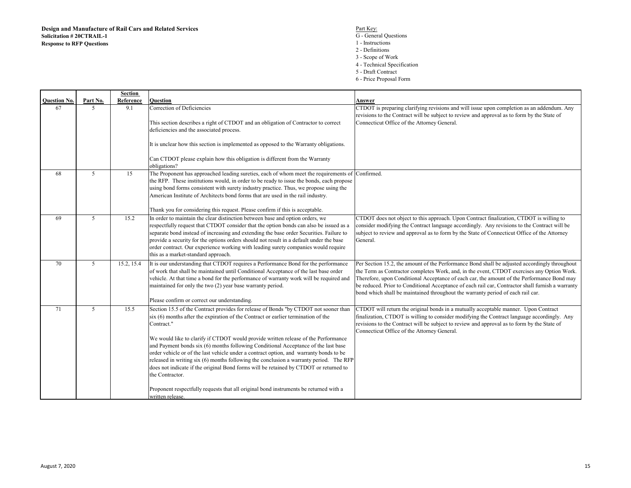$\mathsf{r}$ 

- S<br>
G General Questions<br>
G General Questions
	- 1 Instructions
	- 2 Definitions
	- 3 Scope of Work
	- 4 Technical Specification
	- 5 Draft Contract
	- 6 Price Proposal Form

|                     |                | Section    |                                                                                                                                                                                                                                                                                                                                                                                                                                                                                                                                                                                                                                                                                                                                                                                       |                                                                                                                                                                                                                                                                                                                                                                                                                                                                                   |
|---------------------|----------------|------------|---------------------------------------------------------------------------------------------------------------------------------------------------------------------------------------------------------------------------------------------------------------------------------------------------------------------------------------------------------------------------------------------------------------------------------------------------------------------------------------------------------------------------------------------------------------------------------------------------------------------------------------------------------------------------------------------------------------------------------------------------------------------------------------|-----------------------------------------------------------------------------------------------------------------------------------------------------------------------------------------------------------------------------------------------------------------------------------------------------------------------------------------------------------------------------------------------------------------------------------------------------------------------------------|
| <b>Ouestion No.</b> | Part No.       | Reference  | <b>Ouestion</b>                                                                                                                                                                                                                                                                                                                                                                                                                                                                                                                                                                                                                                                                                                                                                                       | Answer                                                                                                                                                                                                                                                                                                                                                                                                                                                                            |
| 67                  | $\mathfrak{F}$ | 9.1        | Correction of Deficiencies<br>This section describes a right of CTDOT and an obligation of Contractor to correct<br>deficiencies and the associated process.                                                                                                                                                                                                                                                                                                                                                                                                                                                                                                                                                                                                                          | CTDOT is preparing clarifying revisions and will issue upon completion as an addendum. Any<br>revisions to the Contract will be subject to review and approval as to form by the State of<br>Connecticut Office of the Attorney General.                                                                                                                                                                                                                                          |
|                     |                |            | It is unclear how this section is implemented as opposed to the Warranty obligations.<br>Can CTDOT please explain how this obligation is different from the Warranty                                                                                                                                                                                                                                                                                                                                                                                                                                                                                                                                                                                                                  |                                                                                                                                                                                                                                                                                                                                                                                                                                                                                   |
| 68                  | 5              | 15         | obligations?<br>The Proponent has approached leading sureties, each of whom meet the requirements of<br>the RFP. These institutions would, in order to be ready to issue the bonds, each propose<br>using bond forms consistent with surety industry practice. Thus, we propose using the<br>American Institute of Architects bond forms that are used in the rail industry.<br>Thank you for considering this request. Please confirm if this is acceptable.                                                                                                                                                                                                                                                                                                                         | Confirmed.                                                                                                                                                                                                                                                                                                                                                                                                                                                                        |
| 69                  | 5              | 15.2       | In order to maintain the clear distinction between base and option orders, we<br>respectfully request that CTDOT consider that the option bonds can also be issued as a<br>separate bond instead of increasing and extending the base order Securities. Failure to<br>provide a security for the options orders should not result in a default under the base<br>order contract. Our experience working with leading surety companies would require<br>this as a market-standard approach.                                                                                                                                                                                                                                                                                            | CTDOT does not object to this approach. Upon Contract finalization, CTDOT is willing to<br>consider modifying the Contract language accordingly. Any revisions to the Contract will be<br>subject to review and approval as to form by the State of Connecticut Office of the Attorney<br>General.                                                                                                                                                                                |
| 70                  | 5              | 15.2, 15.4 | It is our understanding that CTDOT requires a Performance Bond for the performance<br>of work that shall be maintained until Conditional Acceptance of the last base order<br>vehicle. At that time a bond for the performance of warranty work will be required and<br>maintained for only the two (2) year base warranty period.<br>Please confirm or correct our understanding.                                                                                                                                                                                                                                                                                                                                                                                                    | Per Section 15.2, the amount of the Performance Bond shall be adjusted accordingly throughout<br>the Term as Contractor completes Work, and, in the event, CTDOT exercises any Option Work.<br>Therefore, upon Conditional Acceptance of each car, the amount of the Performance Bond may<br>be reduced. Prior to Conditional Acceptance of each rail car, Contractor shall furnish a warranty<br>bond which shall be maintained throughout the warranty period of each rail car. |
| 71                  | 5              | 15.5       | Section 15.5 of the Contract provides for release of Bonds "by CTDOT not sooner than<br>$s$ ix $(6)$ months after the expiration of the Contract or earlier termination of the<br>Contract."<br>We would like to clarify if CTDOT would provide written release of the Performance<br>and Payment bonds six (6) months following Conditional Acceptance of the last base<br>order vehicle or of the last vehicle under a contract option, and warranty bonds to be<br>released in writing six (6) months following the conclusion a warranty period. The RFP<br>does not indicate if the original Bond forms will be retained by CTDOT or returned to<br>the Contractor.<br>Proponent respectfully requests that all original bond instruments be returned with a<br>written release. | CTDOT will return the original bonds in a mutually acceptable manner. Upon Contract<br>finalization, CTDOT is willing to consider modifying the Contract language accordingly. Any<br>revisions to the Contract will be subject to review and approval as to form by the State of<br>Connecticut Office of the Attorney General.                                                                                                                                                  |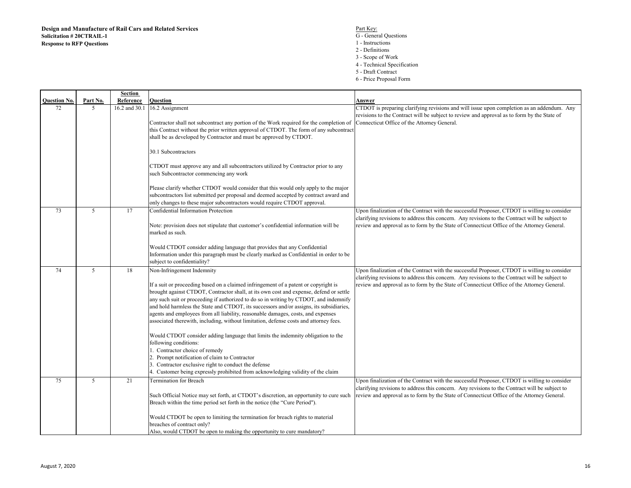**Question No. Part No. Section Reference Question Answer** <sup>72</sup> <sup>5</sup> 16.2 and 30.1 16.2 Assignment Contractor shall not subcontract any portion of the Work required for the completion of Connecticut Office of the Attorney General. this Contract without the prior written approval of CTDOT. The form of any subcontract shall be as developed by Contractor and must be approved by CTDOT.30.1 SubcontractorsCTDOT must approve any and all subcontractors utilized by Contractor prior to any such Subcontractor commencing any workPlease clarify whether CTDOT would consider that this would only apply to the major subcontractors list submitted per proposal and deemed accepted by contract award and only changes to these major subcontractors would require CTDOT approval.CTDOT is preparing clarifying revisions and will issue upon completion as an addendum. Any revisions to the Contract will be subject to review and approval as to form by the State of <sup>73</sup> <sup>5</sup> <sup>17</sup> Confidential Information Protection Note: provision does not stipulate that customer's confidential information will be marked as such.Would CTDOT consider adding language that provides that any Confidential Information under this paragraph must be clearly marked as Confidential in order to be subject to confidentiality?Upon finalization of the Contract with the successful Proposer, CTDOT is willing to consider clarifying revisions to address this concern. Any revisions to the Contract will be subject to review and approval as to form by the State of Connecticut Office of the Attorney General.<sup>74</sup> <sup>5</sup> <sup>18</sup> Non-Infringement Indemnity If a suit or proceeding based on a claimed infringement of a patent or copyright is brought against CTDOT, Contractor shall, at its own cost and expense, defend or settle any such suit or proceeding if authorized to do so in writing by CTDOT, and indemnify and hold harmless the State and CTDOT, its successors and/or assigns, its subsidiaries, agents and employees from all liability, reasonable damages, costs, and expenses associated therewith, including, without limitation, defense costs and attorney fees.Would CTDOT consider adding language that limits the indemnity obligation to the following conditions: 1. Contractor choice of remedy 2. Prompt notification of claim to Contractor 3. Contractor exclusive right to conduct the defense 4. Customer being expressly prohibited from acknowledging validity of the claimUpon finalization of the Contract with the successful Proposer, CTDOT is willing to consider clarifying revisions to address this concern. Any revisions to the Contract will be subject to review and approval as to form by the State of Connecticut Office of the Attorney General.<sup>75</sup> <sup>5</sup> <sup>21</sup> Termination for Breach Such Official Notice may set forth, at CTDOT's discretion, an opportunity to cure such Breach within the time period set forth in the notice (the "Cure Period").Would CTDOT be open to limiting the termination for breach rights to material breaches of contract only? Upon finalization of the Contract with the successful Proposer, CTDOT is willing to consider clarifying revisions to address this concern. Any revisions to the Contract will be subject to review and approval as to form by the State of Connecticut Office of the Attorney General.

Also, would CTDOT be open to making the opportunity to cure mandatory?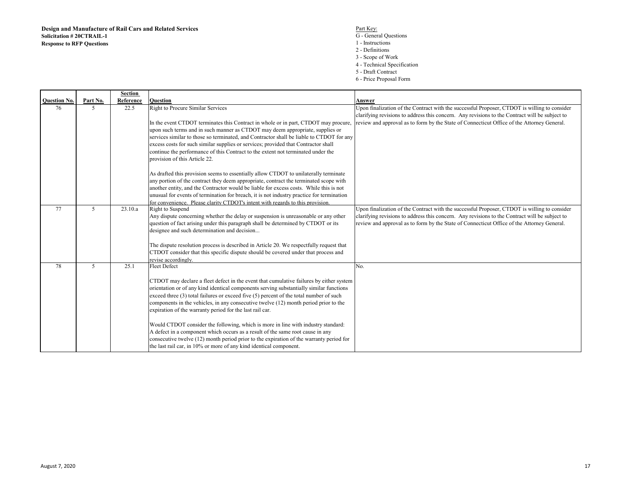- S<br>
G General Questions<br>
G General Questions
	- 1 Instructions
	- 2 Definitions
	- 3 Scope of Work
	- 4 Technical Specification
	- 5 Draft Contract
	- 6 Price Proposal Form

|                     |          | <b>Section</b> |                                                                                           |                                                                                                |
|---------------------|----------|----------------|-------------------------------------------------------------------------------------------|------------------------------------------------------------------------------------------------|
| <b>Ouestion No.</b> | Part No. | Reference      | <b>Ouestion</b>                                                                           | Answer                                                                                         |
| 76                  | 5        | 22.5           | Right to Procure Similar Services                                                         | Upon finalization of the Contract with the successful Proposer, CTDOT is willing to consider   |
|                     |          |                |                                                                                           | clarifying revisions to address this concern. Any revisions to the Contract will be subject to |
|                     |          |                | In the event CTDOT terminates this Contract in whole or in part, CTDOT may procure,       | review and approval as to form by the State of Connecticut Office of the Attorney General.     |
|                     |          |                | upon such terms and in such manner as CTDOT may deem appropriate, supplies or             |                                                                                                |
|                     |          |                | services similar to those so terminated, and Contractor shall be liable to CTDOT for any  |                                                                                                |
|                     |          |                | excess costs for such similar supplies or services; provided that Contractor shall        |                                                                                                |
|                     |          |                | continue the performance of this Contract to the extent not terminated under the          |                                                                                                |
|                     |          |                | provision of this Article 22.                                                             |                                                                                                |
|                     |          |                |                                                                                           |                                                                                                |
|                     |          |                | As drafted this provision seems to essentially allow CTDOT to unilaterally terminate      |                                                                                                |
|                     |          |                | any portion of the contract they deem appropriate, contract the terminated scope with     |                                                                                                |
|                     |          |                | another entity, and the Contractor would be liable for excess costs. While this is not    |                                                                                                |
|                     |          |                | unusual for events of termination for breach, it is not industry practice for termination |                                                                                                |
|                     |          |                | for convenience. Please clarity CTDOT's intent with regards to this provision.            |                                                                                                |
| 77                  | 5        | 23.10.a        | Right to Suspend                                                                          | Upon finalization of the Contract with the successful Proposer, CTDOT is willing to consider   |
|                     |          |                | Any dispute concerning whether the delay or suspension is unreasonable or any other       | clarifying revisions to address this concern. Any revisions to the Contract will be subject to |
|                     |          |                | question of fact arising under this paragraph shall be determined by CTDOT or its         | review and approval as to form by the State of Connecticut Office of the Attorney General.     |
|                     |          |                | designee and such determination and decision                                              |                                                                                                |
|                     |          |                |                                                                                           |                                                                                                |
|                     |          |                | The dispute resolution process is described in Article 20. We respectfully request that   |                                                                                                |
|                     |          |                | CTDOT consider that this specific dispute should be covered under that process and        |                                                                                                |
|                     |          |                | revise accordingly.                                                                       |                                                                                                |
| 78                  | 5        | 25.1           | <b>Fleet Defect</b>                                                                       | No.                                                                                            |
|                     |          |                |                                                                                           |                                                                                                |
|                     |          |                | CTDOT may declare a fleet defect in the event that cumulative failures by either system   |                                                                                                |
|                     |          |                | orientation or of any kind identical components serving substantially similar functions   |                                                                                                |
|                     |          |                | exceed three (3) total failures or exceed five (5) percent of the total number of such    |                                                                                                |
|                     |          |                | components in the vehicles, in any consecutive twelve (12) month period prior to the      |                                                                                                |
|                     |          |                | expiration of the warranty period for the last rail car.                                  |                                                                                                |
|                     |          |                |                                                                                           |                                                                                                |
|                     |          |                | Would CTDOT consider the following, which is more in line with industry standard:         |                                                                                                |
|                     |          |                | A defect in a component which occurs as a result of the same root cause in any            |                                                                                                |
|                     |          |                | consecutive twelve (12) month period prior to the expiration of the warranty period for   |                                                                                                |
|                     |          |                | the last rail car, in 10% or more of any kind identical component.                        |                                                                                                |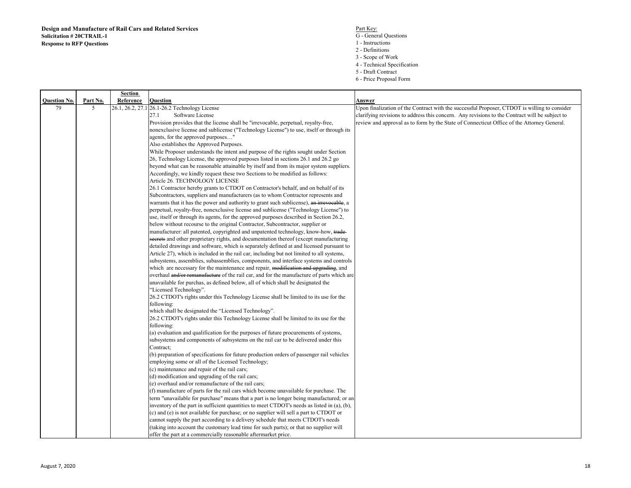- S<br>
G General Questions<br>
G General Questions
	- 1 Instructions
	- 2 Definitions
	- 3 Scope of Work
	- 4 Technical Specification
	- 5 Draft Contract
	- 6 Price Proposal Form

|                           |               | Section        |                                                                                                                                                                                    |                                                                                                                                                                                                |
|---------------------------|---------------|----------------|------------------------------------------------------------------------------------------------------------------------------------------------------------------------------------|------------------------------------------------------------------------------------------------------------------------------------------------------------------------------------------------|
| <b>Ouestion No.</b><br>79 | Part No.<br>5 | Reference      | <b>Ouestion</b>                                                                                                                                                                    | Answer                                                                                                                                                                                         |
|                           |               | 26.1, 26.2, 27 | 26.1-26.2 Technology License                                                                                                                                                       | Upon finalization of the Contract with the successful Proposer, CTDOT is willing to consider<br>clarifying revisions to address this concern. Any revisions to the Contract will be subject to |
|                           |               |                | 27.1<br>Software License                                                                                                                                                           |                                                                                                                                                                                                |
|                           |               |                | Provision provides that the license shall be "irrevocable, perpetual, royalty-free,                                                                                                | review and approval as to form by the State of Connecticut Office of the Attorney General.                                                                                                     |
|                           |               |                | nonexclusive license and sublicense ("Technology License") to use, itself or through its                                                                                           |                                                                                                                                                                                                |
|                           |               |                | agents, for the approved purposes"                                                                                                                                                 |                                                                                                                                                                                                |
|                           |               |                | Also establishes the Approved Purposes.                                                                                                                                            |                                                                                                                                                                                                |
|                           |               |                | While Proposer understands the intent and purpose of the rights sought under Section                                                                                               |                                                                                                                                                                                                |
|                           |               |                | 26, Technology License, the approved purposes listed in sections 26.1 and 26.2 go                                                                                                  |                                                                                                                                                                                                |
|                           |               |                | beyond what can be reasonable attainable by itself and from its major system suppliers.                                                                                            |                                                                                                                                                                                                |
|                           |               |                | Accordingly, we kindly request these two Sections to be modified as follows:                                                                                                       |                                                                                                                                                                                                |
|                           |               |                | Article 26. TECHNOLOGY LICENSE                                                                                                                                                     |                                                                                                                                                                                                |
|                           |               |                | 26.1 Contractor hereby grants to CTDOT on Contractor's behalf, and on behalf of its                                                                                                |                                                                                                                                                                                                |
|                           |               |                | Subcontractors, suppliers and manufacturers (as to whom Contractor represents and                                                                                                  |                                                                                                                                                                                                |
|                           |               |                | warrants that it has the power and authority to grant such sublicense), an irrevocable, a                                                                                          |                                                                                                                                                                                                |
|                           |               |                | perpetual, royalty-free, nonexclusive license and sublicense ("Technology License") to                                                                                             |                                                                                                                                                                                                |
|                           |               |                | use, itself or through its agents, for the approved purposes described in Section 26.2,                                                                                            |                                                                                                                                                                                                |
|                           |               |                | below without recourse to the original Contractor, Subcontractor, supplier or                                                                                                      |                                                                                                                                                                                                |
|                           |               |                | manufacturer: all patented, copyrighted and unpatented technology, know-how, trade-<br>secrets and other proprietary rights, and documentation thereof (except manufacturing       |                                                                                                                                                                                                |
|                           |               |                | detailed drawings and software, which is separately defined at and licensed pursuant to                                                                                            |                                                                                                                                                                                                |
|                           |               |                |                                                                                                                                                                                    |                                                                                                                                                                                                |
|                           |               |                | Article 27), which is included in the rail car, including but not limited to all systems,<br>subsystems, assemblies, subassemblies, components, and interface systems and controls |                                                                                                                                                                                                |
|                           |               |                | which are necessary for the maintenance and repair, modification and upgrading, and                                                                                                |                                                                                                                                                                                                |
|                           |               |                | overhaul and/or remanufacture of the rail car, and for the manufacture of parts which are                                                                                          |                                                                                                                                                                                                |
|                           |               |                |                                                                                                                                                                                    |                                                                                                                                                                                                |
|                           |               |                | unavailable for purchas, as defined below, all of which shall be designated the<br>"Licensed Technology".                                                                          |                                                                                                                                                                                                |
|                           |               |                |                                                                                                                                                                                    |                                                                                                                                                                                                |
|                           |               |                | 26.2 CTDOT's rights under this Technology License shall be limited to its use for the<br>following:                                                                                |                                                                                                                                                                                                |
|                           |               |                | which shall be designated the "Licensed Technology".                                                                                                                               |                                                                                                                                                                                                |
|                           |               |                | 26.2 CTDOT's rights under this Technology License shall be limited to its use for the                                                                                              |                                                                                                                                                                                                |
|                           |               |                | following:                                                                                                                                                                         |                                                                                                                                                                                                |
|                           |               |                | (a) evaluation and qualification for the purposes of future procurements of systems,                                                                                               |                                                                                                                                                                                                |
|                           |               |                | subsystems and components of subsystems on the rail car to be delivered under this                                                                                                 |                                                                                                                                                                                                |
|                           |               |                | Contract:                                                                                                                                                                          |                                                                                                                                                                                                |
|                           |               |                | (b) preparation of specifications for future production orders of passenger rail vehicles                                                                                          |                                                                                                                                                                                                |
|                           |               |                | employing some or all of the Licensed Technology;                                                                                                                                  |                                                                                                                                                                                                |
|                           |               |                | (c) maintenance and repair of the rail cars;                                                                                                                                       |                                                                                                                                                                                                |
|                           |               |                | (d) modification and upgrading of the rail cars;                                                                                                                                   |                                                                                                                                                                                                |
|                           |               |                | (e) overhaul and/or remanufacture of the rail cars;                                                                                                                                |                                                                                                                                                                                                |
|                           |               |                | (f) manufacture of parts for the rail cars which become unavailable for purchase. The                                                                                              |                                                                                                                                                                                                |
|                           |               |                | term "unavailable for purchase" means that a part is no longer being manufactured; or an                                                                                           |                                                                                                                                                                                                |
|                           |               |                | inventory of the part in sufficient quantities to meet CTDOT's needs as listed in (a), (b),                                                                                        |                                                                                                                                                                                                |
|                           |               |                | (c) and (e) is not available for purchase; or no supplier will sell a part to CTDOT or                                                                                             |                                                                                                                                                                                                |
|                           |               |                | cannot supply the part according to a delivery schedule that meets CTDOT's needs                                                                                                   |                                                                                                                                                                                                |
|                           |               |                | (taking into account the customary lead time for such parts); or that no supplier will                                                                                             |                                                                                                                                                                                                |
|                           |               |                | offer the part at a commercially reasonable aftermarket price.                                                                                                                     |                                                                                                                                                                                                |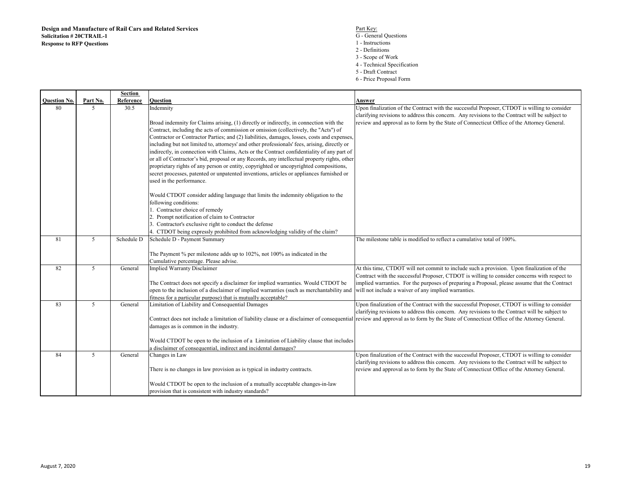- S<br>
G General Questions<br>
G General Questions
	- 1 Instructions
	- 2 Definitions
	- 3 Scope of Work
	- 4 Technical Specification
	- 5 Draft Contract
	- 6 Price Proposal Form

|                     |          | Section    |                                                                                              |                                                                                                                                                                                        |
|---------------------|----------|------------|----------------------------------------------------------------------------------------------|----------------------------------------------------------------------------------------------------------------------------------------------------------------------------------------|
| <b>Question No.</b> | Part No. | Reference  | <b>Ouestion</b>                                                                              | Answer                                                                                                                                                                                 |
| 80                  | .5       | 30.5       | Indemnity                                                                                    | Upon finalization of the Contract with the successful Proposer, CTDOT is willing to consider                                                                                           |
|                     |          |            |                                                                                              | clarifying revisions to address this concern. Any revisions to the Contract will be subject to                                                                                         |
|                     |          |            | Broad indemnity for Claims arising, (1) directly or indirectly, in connection with the       | review and approval as to form by the State of Connecticut Office of the Attorney General.                                                                                             |
|                     |          |            | Contract, including the acts of commission or omission (collectively, the "Acts") of         |                                                                                                                                                                                        |
|                     |          |            | Contractor or Contractor Parties; and (2) liabilities, damages, losses, costs and expenses,  |                                                                                                                                                                                        |
|                     |          |            | including but not limited to, attorneys' and other professionals' fees, arising, directly or |                                                                                                                                                                                        |
|                     |          |            | indirectly, in connection with Claims, Acts or the Contract confidentiality of any part of   |                                                                                                                                                                                        |
|                     |          |            | or all of Contractor's bid, proposal or any Records, any intellectual property rights, other |                                                                                                                                                                                        |
|                     |          |            | proprietary rights of any person or entity, copyrighted or uncopyrighted compositions,       |                                                                                                                                                                                        |
|                     |          |            | secret processes, patented or unpatented inventions, articles or appliances furnished or     |                                                                                                                                                                                        |
|                     |          |            | used in the performance.                                                                     |                                                                                                                                                                                        |
|                     |          |            | Would CTDOT consider adding language that limits the indemnity obligation to the             |                                                                                                                                                                                        |
|                     |          |            | following conditions:                                                                        |                                                                                                                                                                                        |
|                     |          |            | 1. Contractor choice of remedy                                                               |                                                                                                                                                                                        |
|                     |          |            | 2. Prompt notification of claim to Contractor                                                |                                                                                                                                                                                        |
|                     |          |            | 3. Contractor's exclusive right to conduct the defense                                       |                                                                                                                                                                                        |
|                     |          |            | 4. CTDOT being expressly prohibited from acknowledging validity of the claim?                |                                                                                                                                                                                        |
| 81                  | 5        | Schedule D | Schedule D - Payment Summary                                                                 | The milestone table is modified to reflect a cumulative total of 100%.                                                                                                                 |
|                     |          |            |                                                                                              |                                                                                                                                                                                        |
|                     |          |            | The Payment % per milestone adds up to 102%, not 100% as indicated in the                    |                                                                                                                                                                                        |
|                     |          |            | Cumulative percentage. Please advise.                                                        |                                                                                                                                                                                        |
| 82                  | 5        | General    | <b>Implied Warranty Disclaimer</b>                                                           | At this time, CTDOT will not commit to include such a provision. Upon finalization of the                                                                                              |
|                     |          |            |                                                                                              | Contract with the successful Proposer, CTDOT is willing to consider concerns with respect to                                                                                           |
|                     |          |            | The Contract does not specify a disclaimer for implied warranties. Would CTDOT be            | implied warranties. For the purposes of preparing a Proposal, please assume that the Contract                                                                                          |
|                     |          |            | open to the inclusion of a disclaimer of implied warranties (such as merchantability and     | will not include a waiver of any implied warranties.                                                                                                                                   |
|                     |          |            | fitness for a particular purpose) that is mutually acceptable?                               |                                                                                                                                                                                        |
| 83                  | 5        | General    | Limitation of Liability and Consequential Damages                                            | Upon finalization of the Contract with the successful Proposer, CTDOT is willing to consider                                                                                           |
|                     |          |            |                                                                                              | clarifying revisions to address this concern. Any revisions to the Contract will be subject to                                                                                         |
|                     |          |            |                                                                                              | Contract does not include a limitation of liability clause or a disclaimer of consequential review and approval as to form by the State of Connecticut Office of the Attorney General. |
|                     |          |            | damages as is common in the industry.                                                        |                                                                                                                                                                                        |
|                     |          |            | Would CTDOT be open to the inclusion of a Limitation of Liability clause that includes       |                                                                                                                                                                                        |
|                     |          |            | a disclaimer of consequential, indirect and incidental damages?                              |                                                                                                                                                                                        |
| 84                  | 5        | General    | Changes in Law                                                                               | Upon finalization of the Contract with the successful Proposer, CTDOT is willing to consider                                                                                           |
|                     |          |            |                                                                                              | clarifying revisions to address this concern. Any revisions to the Contract will be subject to                                                                                         |
|                     |          |            | There is no changes in law provision as is typical in industry contracts.                    | review and approval as to form by the State of Connecticut Office of the Attorney General.                                                                                             |
|                     |          |            |                                                                                              |                                                                                                                                                                                        |
|                     |          |            | Would CTDOT be open to the inclusion of a mutually acceptable changes-in-law                 |                                                                                                                                                                                        |
|                     |          |            | provision that is consistent with industry standards?                                        |                                                                                                                                                                                        |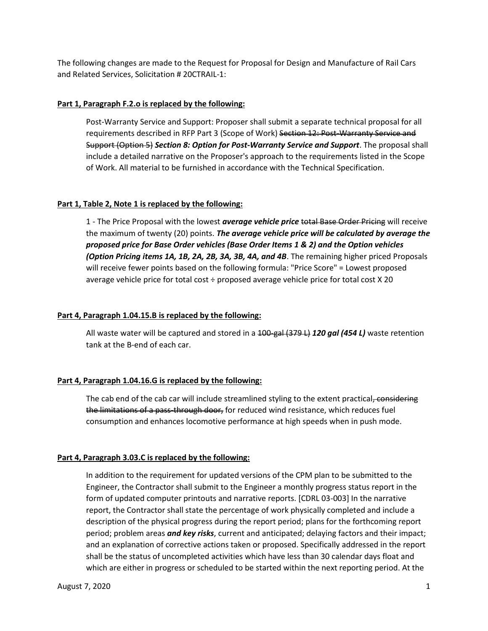The following changes are made to the Request for Proposal for Design and Manufacture of Rail Cars and Related Services, Solicitation # 20CTRAIL-1:

#### **Part 1, Paragraph F.2.o is replaced by the following:**

Post-Warranty Service and Support: Proposer shall submit a separate technical proposal for all requirements described in RFP Part 3 (Scope of Work) Section 12: Post-Warranty Service and Support (Option 5) *Section 8: Option for Post-Warranty Service and Support*. The proposal shall include a detailed narrative on the Proposer's approach to the requirements listed in the Scope of Work. All material to be furnished in accordance with the Technical Specification.

#### **Part 1, Table 2, Note 1 is replaced by the following:**

1 - The Price Proposal with the lowest *average vehicle price* total Base Order Pricing will receive the maximum of twenty (20) points. *The average vehicle price will be calculated by average the proposed price for Base Order vehicles (Base Order Items 1 & 2) and the Option vehicles (Option Pricing items 1A, 1B, 2A, 2B, 3A, 3B, 4A, and 4B*. The remaining higher priced Proposals will receive fewer points based on the following formula: "Price Score" = Lowest proposed average vehicle price for total cost ÷ proposed average vehicle price for total cost X 20

#### **Part 4, Paragraph 1.04.15.B is replaced by the following:**

All waste water will be captured and stored in a 100-gal (379 L) *120 gal (454 L)* waste retention tank at the B-end of each car.

### **Part 4, Paragraph 1.04.16.G is replaced by the following:**

The cab end of the cab car will include streamlined styling to the extent practical, considering the limitations of a pass-through door, for reduced wind resistance, which reduces fuel consumption and enhances locomotive performance at high speeds when in push mode.

### **Part 4, Paragraph 3.03.C is replaced by the following:**

In addition to the requirement for updated versions of the CPM plan to be submitted to the Engineer, the Contractor shall submit to the Engineer a monthly progress status report in the form of updated computer printouts and narrative reports. [CDRL 03-003] In the narrative report, the Contractor shall state the percentage of work physically completed and include a description of the physical progress during the report period; plans for the forthcoming report period; problem areas *and key risks*, current and anticipated; delaying factors and their impact; and an explanation of corrective actions taken or proposed. Specifically addressed in the report shall be the status of uncompleted activities which have less than 30 calendar days float and which are either in progress or scheduled to be started within the next reporting period. At the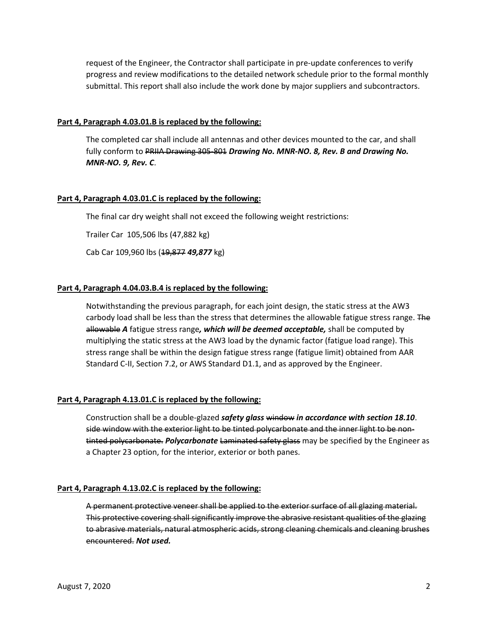request of the Engineer, the Contractor shall participate in pre-update conferences to verify progress and review modifications to the detailed network schedule prior to the formal monthly submittal. This report shall also include the work done by major suppliers and subcontractors.

#### **Part 4, Paragraph 4.03.01.B is replaced by the following:**

The completed car shall include all antennas and other devices mounted to the car, and shall fully conform to PRHA Drawing 305-801 *Drawing No. MNR-NO. 8, Rev. B and Drawing No. MNR-NO. 9, Rev. C*.

#### **Part 4, Paragraph 4.03.01.C is replaced by the following:**

The final car dry weight shall not exceed the following weight restrictions:

Trailer Car 105,506 lbs (47,882 kg)

Cab Car 109,960 lbs (19,877 *49,877* kg)

#### **Part 4, Paragraph 4.04.03.B.4 is replaced by the following:**

Notwithstanding the previous paragraph, for each joint design, the static stress at the AW3 carbody load shall be less than the stress that determines the allowable fatigue stress range. The allowable *A* fatigue stress range*, which will be deemed acceptable,* shall be computed by multiplying the static stress at the AW3 load by the dynamic factor (fatigue load range). This stress range shall be within the design fatigue stress range (fatigue limit) obtained from AAR Standard C-II, Section 7.2, or AWS Standard D1.1, and as approved by the Engineer.

#### **Part 4, Paragraph 4.13.01.C is replaced by the following:**

Construction shall be a double-glazed *safety glass* window *in accordance with section 18.10*. side window with the exterior light to be tinted polycarbonate and the inner light to be nontinted polycarbonate. *Polycarbonate* Laminated safety glass may be specified by the Engineer as a Chapter 23 option, for the interior, exterior or both panes.

#### **Part 4, Paragraph 4.13.02.C is replaced by the following:**

A permanent protective veneer shall be applied to the exterior surface of all glazing material. This protective covering shall significantly improve the abrasive resistant qualities of the glazing to abrasive materials, natural atmospheric acids, strong cleaning chemicals and cleaning brushes encountered. *Not used.*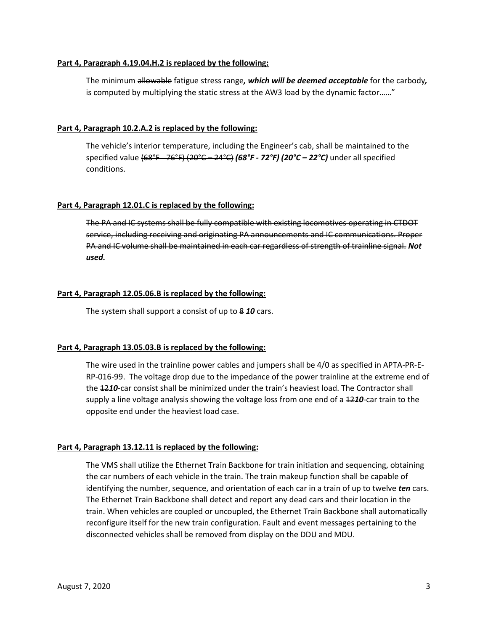#### **Part 4, Paragraph 4.19.04.H.2 is replaced by the following:**

The minimum allowable fatigue stress range*, which will be deemed acceptable* for the carbody*,* is computed by multiplying the static stress at the AW3 load by the dynamic factor……"

#### **Part 4, Paragraph 10.2.A.2 is replaced by the following:**

The vehicle's interior temperature, including the Engineer's cab, shall be maintained to the specified value (68°F - 76°F) (20°C – 24°C) *(68°F - 72°F) (20°C – 22°C)* under all specified conditions.

#### **Part 4, Paragraph 12.01.C is replaced by the following:**

The PA and IC systems shall be fully compatible with existing locomotives operating in CTDOT service, including receiving and originating PA announcements and IC communications. Proper PA and IC volume shall be maintained in each car regardless of strength of trainline signal. *Not used.*

#### **Part 4, Paragraph 12.05.06.B is replaced by the following:**

The system shall support a consist of up to 8 *10* cars.

#### **Part 4, Paragraph 13.05.03.B is replaced by the following:**

The wire used in the trainline power cables and jumpers shall be 4/0 as specified in APTA-PR-E-RP-016-99. The voltage drop due to the impedance of the power trainline at the extreme end of the 12*10*-car consist shall be minimized under the train's heaviest load. The Contractor shall supply a line voltage analysis showing the voltage loss from one end of a 12*10*-car train to the opposite end under the heaviest load case.

#### **Part 4, Paragraph 13.12.11 is replaced by the following:**

The VMS shall utilize the Ethernet Train Backbone for train initiation and sequencing, obtaining the car numbers of each vehicle in the train. The train makeup function shall be capable of identifying the number, sequence, and orientation of each car in a train of up to twelve *ten* cars. The Ethernet Train Backbone shall detect and report any dead cars and their location in the train. When vehicles are coupled or uncoupled, the Ethernet Train Backbone shall automatically reconfigure itself for the new train configuration. Fault and event messages pertaining to the disconnected vehicles shall be removed from display on the DDU and MDU.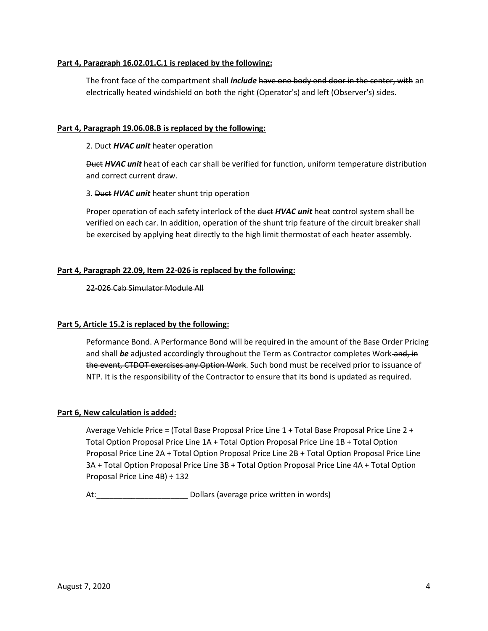#### **Part 4, Paragraph 16.02.01.C.1 is replaced by the following:**

The front face of the compartment shall *include* have one body end door in the center, with an electrically heated windshield on both the right (Operator's) and left (Observer's) sides.

#### **Part 4, Paragraph 19.06.08.B is replaced by the following:**

#### 2. Duct *HVAC unit* heater operation

Duct *HVAC unit* heat of each car shall be verified for function, uniform temperature distribution and correct current draw.

#### 3. Duct *HVAC unit* heater shunt trip operation

Proper operation of each safety interlock of the duct *HVAC unit* heat control system shall be verified on each car. In addition, operation of the shunt trip feature of the circuit breaker shall be exercised by applying heat directly to the high limit thermostat of each heater assembly.

#### **Part 4, Paragraph 22.09, Item 22-026 is replaced by the following:**

22-026 Cab Simulator Module All

#### **Part 5, Article 15.2 is replaced by the following:**

Peformance Bond. A Performance Bond will be required in the amount of the Base Order Pricing and shall *be* adjusted accordingly throughout the Term as Contractor completes Work and, in the event, CTDOT exercises any Option Work. Such bond must be received prior to issuance of NTP. It is the responsibility of the Contractor to ensure that its bond is updated as required.

#### **Part 6, New calculation is added:**

Average Vehicle Price = (Total Base Proposal Price Line 1 + Total Base Proposal Price Line 2 + Total Option Proposal Price Line 1A + Total Option Proposal Price Line 1B + Total Option Proposal Price Line 2A + Total Option Proposal Price Line 2B + Total Option Proposal Price Line 3A + Total Option Proposal Price Line 3B + Total Option Proposal Price Line 4A + Total Option Proposal Price Line 4B) ÷ 132

At: example and the Dollars (average price written in words)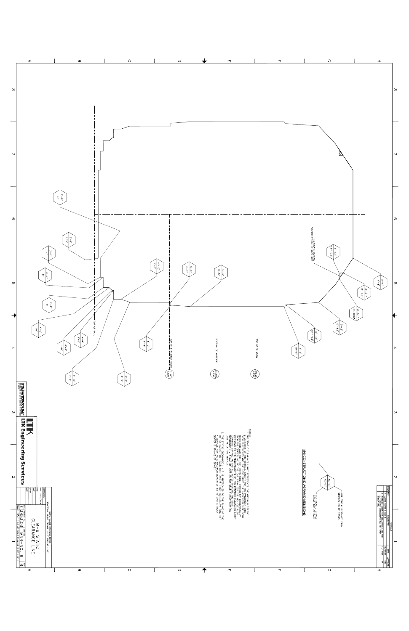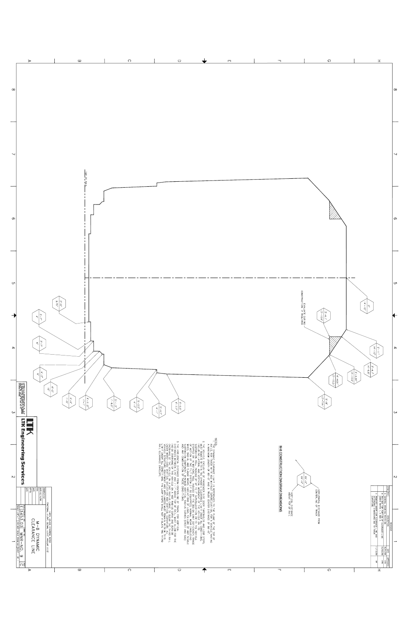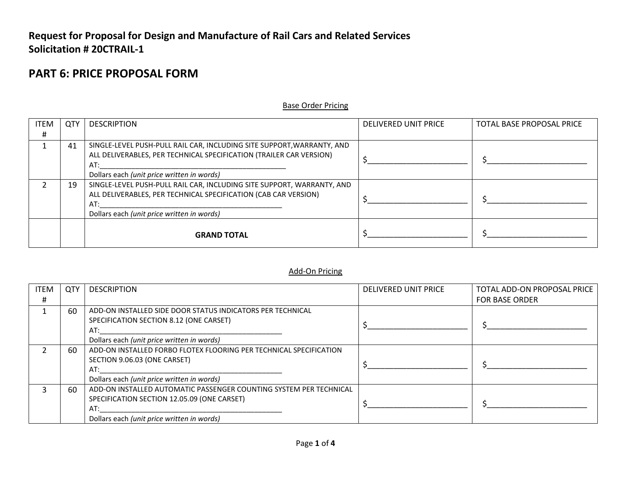## **Request for Proposal for Design and Manufacture of Rail Cars and Related Services Solicitation # 20CTRAIL-1**

## **PART 6: PRICE PROPOSAL FORM**

#### Base Order Pricing

| ITEM | QTY | <b>DESCRIPTION</b>                                                     | <b>DELIVERED UNIT PRICE</b> | TOTAL BASE PROPOSAL PRICE |
|------|-----|------------------------------------------------------------------------|-----------------------------|---------------------------|
| #    |     |                                                                        |                             |                           |
|      | 41  | SINGLE-LEVEL PUSH-PULL RAIL CAR, INCLUDING SITE SUPPORT, WARRANTY, AND |                             |                           |
|      |     | ALL DELIVERABLES, PER TECHNICAL SPECIFICATION (TRAILER CAR VERSION)    |                             |                           |
|      |     | AT:                                                                    |                             |                           |
|      |     | Dollars each (unit price written in words)                             |                             |                           |
|      | 19  | SINGLE-LEVEL PUSH-PULL RAIL CAR, INCLUDING SITE SUPPORT, WARRANTY, AND |                             |                           |
|      |     | ALL DELIVERABLES, PER TECHNICAL SPECIFICATION (CAB CAR VERSION)        |                             |                           |
|      |     | AT:                                                                    |                             |                           |
|      |     | Dollars each (unit price written in words)                             |                             |                           |
|      |     |                                                                        |                             |                           |
|      |     | <b>GRAND TOTAL</b>                                                     |                             |                           |
|      |     |                                                                        |                             |                           |

#### Add-On Pricing

| <b>ITEM</b> | <b>QTY</b> | <b>DESCRIPTION</b>                                                                                                                                                     | DELIVERED UNIT PRICE | TOTAL ADD-ON PROPOSAL PRICE |
|-------------|------------|------------------------------------------------------------------------------------------------------------------------------------------------------------------------|----------------------|-----------------------------|
| #           |            |                                                                                                                                                                        |                      | <b>FOR BASE ORDER</b>       |
|             | 60         | ADD-ON INSTALLED SIDE DOOR STATUS INDICATORS PER TECHNICAL<br>SPECIFICATION SECTION 8.12 (ONE CARSET)<br>AT:<br>Dollars each (unit price written in words)             |                      |                             |
|             | 60         | ADD-ON INSTALLED FORBO FLOTEX FLOORING PER TECHNICAL SPECIFICATION<br>SECTION 9.06.03 (ONE CARSET)<br>AT:<br>Dollars each (unit price written in words)                |                      |                             |
|             | 60         | ADD-ON INSTALLED AUTOMATIC PASSENGER COUNTING SYSTEM PER TECHNICAL<br>SPECIFICATION SECTION 12.05.09 (ONE CARSET)<br>AT:<br>Dollars each (unit price written in words) |                      |                             |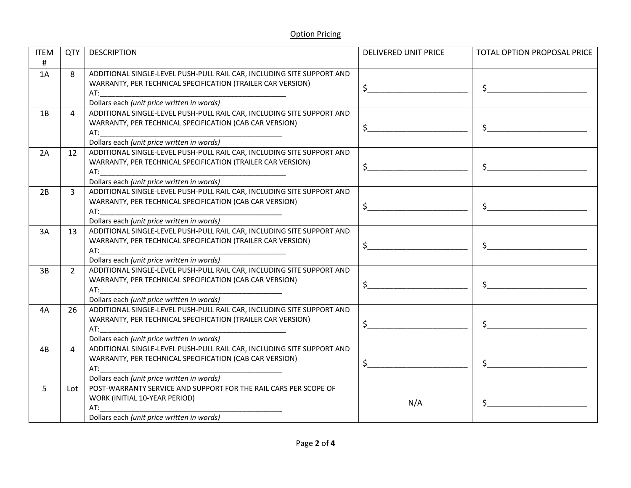| <b>ITEM</b> | QTY            | <b>DESCRIPTION</b>                                                                                                                                                                                                             | <b>DELIVERED UNIT PRICE</b> | TOTAL OPTION PROPOSAL PRICE                                                                                                                                                                                                                                                                                                                                                                                                                                                                |
|-------------|----------------|--------------------------------------------------------------------------------------------------------------------------------------------------------------------------------------------------------------------------------|-----------------------------|--------------------------------------------------------------------------------------------------------------------------------------------------------------------------------------------------------------------------------------------------------------------------------------------------------------------------------------------------------------------------------------------------------------------------------------------------------------------------------------------|
| $\#$        |                |                                                                                                                                                                                                                                |                             |                                                                                                                                                                                                                                                                                                                                                                                                                                                                                            |
| 1A          | 8              | ADDITIONAL SINGLE-LEVEL PUSH-PULL RAIL CAR, INCLUDING SITE SUPPORT AND                                                                                                                                                         |                             |                                                                                                                                                                                                                                                                                                                                                                                                                                                                                            |
|             |                | WARRANTY, PER TECHNICAL SPECIFICATION (TRAILER CAR VERSION)                                                                                                                                                                    | $\ddot{\mathsf{S}}$         |                                                                                                                                                                                                                                                                                                                                                                                                                                                                                            |
|             |                | AT:                                                                                                                                                                                                                            |                             |                                                                                                                                                                                                                                                                                                                                                                                                                                                                                            |
|             |                | Dollars each (unit price written in words)                                                                                                                                                                                     |                             |                                                                                                                                                                                                                                                                                                                                                                                                                                                                                            |
| 1B          | 4              | ADDITIONAL SINGLE-LEVEL PUSH-PULL RAIL CAR, INCLUDING SITE SUPPORT AND                                                                                                                                                         |                             |                                                                                                                                                                                                                                                                                                                                                                                                                                                                                            |
|             |                | WARRANTY, PER TECHNICAL SPECIFICATION (CAB CAR VERSION)                                                                                                                                                                        | $\sharp$                    |                                                                                                                                                                                                                                                                                                                                                                                                                                                                                            |
|             |                | AT:                                                                                                                                                                                                                            |                             |                                                                                                                                                                                                                                                                                                                                                                                                                                                                                            |
|             |                | Dollars each (unit price written in words)<br>ADDITIONAL SINGLE-LEVEL PUSH-PULL RAIL CAR, INCLUDING SITE SUPPORT AND                                                                                                           |                             |                                                                                                                                                                                                                                                                                                                                                                                                                                                                                            |
| 2A          | 12             | WARRANTY, PER TECHNICAL SPECIFICATION (TRAILER CAR VERSION)                                                                                                                                                                    |                             |                                                                                                                                                                                                                                                                                                                                                                                                                                                                                            |
|             |                | AT:                                                                                                                                                                                                                            | $\mathsf{S}$                |                                                                                                                                                                                                                                                                                                                                                                                                                                                                                            |
|             |                | Dollars each (unit price written in words)                                                                                                                                                                                     |                             |                                                                                                                                                                                                                                                                                                                                                                                                                                                                                            |
| 2B          | $\overline{3}$ | ADDITIONAL SINGLE-LEVEL PUSH-PULL RAIL CAR, INCLUDING SITE SUPPORT AND                                                                                                                                                         |                             |                                                                                                                                                                                                                                                                                                                                                                                                                                                                                            |
|             |                | WARRANTY, PER TECHNICAL SPECIFICATION (CAB CAR VERSION)                                                                                                                                                                        |                             |                                                                                                                                                                                                                                                                                                                                                                                                                                                                                            |
|             |                | AT: the contract of the contract of the contract of the contract of the contract of the contract of the contract of the contract of the contract of the contract of the contract of the contract of the contract of the contra | $\mathsf{S}$                |                                                                                                                                                                                                                                                                                                                                                                                                                                                                                            |
|             |                | Dollars each (unit price written in words)                                                                                                                                                                                     |                             |                                                                                                                                                                                                                                                                                                                                                                                                                                                                                            |
| 3A          | 13             | ADDITIONAL SINGLE-LEVEL PUSH-PULL RAIL CAR, INCLUDING SITE SUPPORT AND                                                                                                                                                         |                             |                                                                                                                                                                                                                                                                                                                                                                                                                                                                                            |
|             |                | WARRANTY, PER TECHNICAL SPECIFICATION (TRAILER CAR VERSION)                                                                                                                                                                    |                             |                                                                                                                                                                                                                                                                                                                                                                                                                                                                                            |
|             |                |                                                                                                                                                                                                                                |                             |                                                                                                                                                                                                                                                                                                                                                                                                                                                                                            |
|             |                | Dollars each (unit price written in words)                                                                                                                                                                                     |                             |                                                                                                                                                                                                                                                                                                                                                                                                                                                                                            |
| 3B          | $2^{\circ}$    | ADDITIONAL SINGLE-LEVEL PUSH-PULL RAIL CAR, INCLUDING SITE SUPPORT AND                                                                                                                                                         |                             |                                                                                                                                                                                                                                                                                                                                                                                                                                                                                            |
|             |                | WARRANTY, PER TECHNICAL SPECIFICATION (CAB CAR VERSION)                                                                                                                                                                        | $\zeta$                     |                                                                                                                                                                                                                                                                                                                                                                                                                                                                                            |
|             |                |                                                                                                                                                                                                                                |                             |                                                                                                                                                                                                                                                                                                                                                                                                                                                                                            |
|             |                | Dollars each (unit price written in words)                                                                                                                                                                                     |                             |                                                                                                                                                                                                                                                                                                                                                                                                                                                                                            |
| 4A          | 26             | ADDITIONAL SINGLE-LEVEL PUSH-PULL RAIL CAR, INCLUDING SITE SUPPORT AND                                                                                                                                                         |                             |                                                                                                                                                                                                                                                                                                                                                                                                                                                                                            |
|             |                | WARRANTY, PER TECHNICAL SPECIFICATION (TRAILER CAR VERSION)                                                                                                                                                                    | $\sim$                      | $\begin{array}{c} \n \uparrow \text{S} \quad \text{S} \quad \text{S} \quad \text{S} \quad \text{S} \quad \text{S} \quad \text{S} \quad \text{S} \quad \text{S} \quad \text{S} \quad \text{S} \quad \text{S} \quad \text{S} \quad \text{S} \quad \text{S} \quad \text{S} \quad \text{S} \quad \text{S} \quad \text{S} \quad \text{S} \quad \text{S} \quad \text{S} \quad \text{S} \quad \text{S} \quad \text{S} \quad \text{S} \quad \text{S} \quad \text{S} \quad \text{S} \quad \text{S}$ |
|             |                | AT:<br>Dollars each (unit price written in words)                                                                                                                                                                              |                             |                                                                                                                                                                                                                                                                                                                                                                                                                                                                                            |
|             | 4              | ADDITIONAL SINGLE-LEVEL PUSH-PULL RAIL CAR, INCLUDING SITE SUPPORT AND                                                                                                                                                         |                             |                                                                                                                                                                                                                                                                                                                                                                                                                                                                                            |
| 4B          |                | WARRANTY, PER TECHNICAL SPECIFICATION (CAB CAR VERSION)                                                                                                                                                                        |                             |                                                                                                                                                                                                                                                                                                                                                                                                                                                                                            |
|             |                | AT:                                                                                                                                                                                                                            | $\mathsf{S}$                |                                                                                                                                                                                                                                                                                                                                                                                                                                                                                            |
|             |                | Dollars each (unit price written in words)                                                                                                                                                                                     |                             |                                                                                                                                                                                                                                                                                                                                                                                                                                                                                            |
| 5           | Lot            | POST-WARRANTY SERVICE AND SUPPORT FOR THE RAIL CARS PER SCOPE OF                                                                                                                                                               |                             |                                                                                                                                                                                                                                                                                                                                                                                                                                                                                            |
|             |                | WORK (INITIAL 10-YEAR PERIOD)                                                                                                                                                                                                  |                             |                                                                                                                                                                                                                                                                                                                                                                                                                                                                                            |
|             |                | AT:                                                                                                                                                                                                                            | N/A                         |                                                                                                                                                                                                                                                                                                                                                                                                                                                                                            |
|             |                | Dollars each (unit price written in words)                                                                                                                                                                                     |                             |                                                                                                                                                                                                                                                                                                                                                                                                                                                                                            |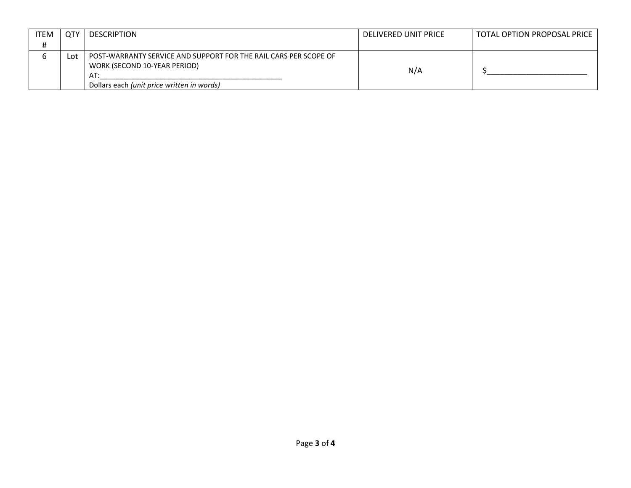| <b>ITEM</b> | <b>QTY</b> | <b>DESCRIPTION</b>                                                                                      | DELIVERED UNIT PRICE | TOTAL OPTION PROPOSAL PRICE |
|-------------|------------|---------------------------------------------------------------------------------------------------------|----------------------|-----------------------------|
| #           |            |                                                                                                         |                      |                             |
|             | Lot        | POST-WARRANTY SERVICE AND SUPPORT FOR THE RAIL CARS PER SCOPE OF<br>WORK (SECOND 10-YEAR PERIOD)<br>AT: | N/A                  |                             |
|             |            | Dollars each (unit price written in words)                                                              |                      |                             |